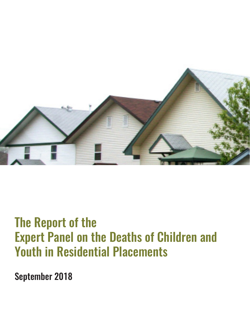

# The Report of the Expert Panel on the Deaths of Children and Youth in Residential Placements

September 2018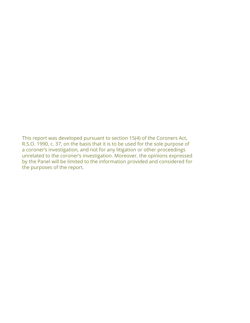This report was developed pursuant to section 15(4) of the Coroners Act, R.S.O. 1990, c. 37, on the basis that it is to be used for the sole purpose of a coroner's investigation, and not for any litigation or other proceedings unrelated to the coroner's investigation. Moreover, the opinions expressed by the Panel will be limited to the information provided and considered for the purposes of the report.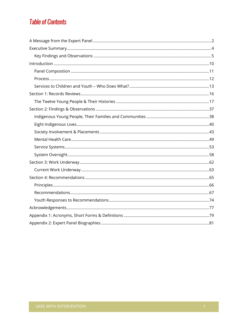# **Table of Contents**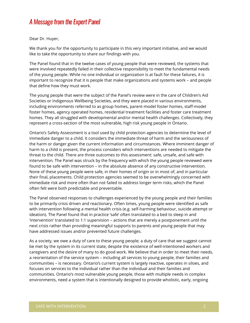## A Message from the Expert Panel

Dear Dr. Huyer,

We thank you for the opportunity to participate in this very important initiative, and we would like to take the opportunity to share our findings with you.

The Panel found that in the twelve cases of young people that were reviewed, the systems that were involved repeatedly failed in their collective responsibility to meet the fundamental needs of the young people. While no one individual or organization is at fault for these failures, it is important to recognize that it is people that make organizations and systems work – and people that define how they must work.

The young people that were the subject of the Panel's review were in the care of Children's Aid Societies or Indigenous Wellbeing Societies, and they were placed in various environments, including environments referred to as group homes, parent-model foster homes, staff-model foster homes, agency operated homes, residential treatment facilities and foster care treatment homes. They all struggled with developmental and/or mental health challenges. Collectively, they represent a cross-section of the most vulnerable, high risk young people in Ontario.

Ontario's Safety Assessment is a tool used by child protection agencies to determine the level of immediate danger to a child. It considers the immediate threat of harm and the seriousness of the harm or danger given the current information and circumstances. Where imminent danger of harm to a child is present, the process considers which interventions are needed to mitigate the threat to the child. There are three outcomes to this assessment: safe, unsafe, and safe with intervention. The Panel was struck by the frequency with which the young people reviewed were found to be safe with intervention – in the absolute absence of any constructive intervention. None of these young people were safe, in their homes of origin or in most of, and in particular their final, placements. Child protection agencies seemed to be overwhelmingly concerned with immediate risk and more often than not failed to address longer term risks, which the Panel often felt were both predictable and preventable.

The Panel observed responses to challenges experienced by the young people and their families to be primarily crisis driven and reactionary. Often times, young people were identified as safe with intervention following a mental health crisis (e.g. self-harming behaviour, suicide attempt or ideation). The Panel found that in practice 'safe' often translated to a bed to sleep in and 'intervention' translated to 1:1 supervision – actions that are merely a postponement until the next crisis rather than providing meaningful supports to parents and young people that may have addressed issues and/or prevented future challenges.

As a society, we owe a duty of care to these young people; a duty of care that we suggest cannot be met by the system in its current state, despite the existence of well-intentioned workers and caregivers and the desire of many to do good work. We believe that in order to meet their needs, a reorientation of the service system – including all services to young people, their families and communities – is necessary. Ontario's current system is largely reactive, operates in siloes, and focuses on services to the individual rather than the individual and their families and communities. Ontario's most vulnerable young people, those with multiple needs in complex environments, need a system that is intentionally designed to provide wholistic, early, ongoing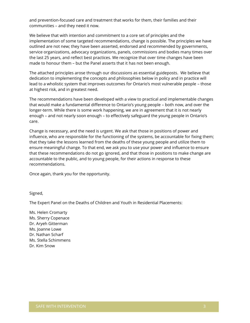and prevention-focused care and treatment that works for them, their families and their communities – and they need it now.

We believe that with intention and commitment to a core set of principles and the implementation of some targeted recommendations, change is possible. The principles we have outlined are not new; they have been asserted, endorsed and recommended by governments, service organizations, advocacy organizations, panels, commissions and bodies many times over the last 25 years, and reflect best practices. We recognize that over time changes have been made to honour them – but the Panel asserts that it has not been enough.

The attached principles arose through our discussions as essential guideposts. We believe that dedication to implementing the concepts and philosophies below in policy and in practice will lead to a wholistic system that improves outcomes for Ontario's most vulnerable people – those at highest risk, and in greatest need.

The recommendations have been developed with a view to practical and implementable changes that would make a fundamental difference to Ontario's young people – both now, and over the longer-term. While there is some work happening, we are in agreement that it is not nearly enough – and not nearly soon enough – to effectively safeguard the young people in Ontario's care.

Change is necessary, and the need is urgent. We ask that those in positions of power and influence, who are responsible for the functioning of the systems, be accountable for fixing them; that they take the lessons learned from the deaths of these young people and utilize them to ensure meaningful change. To that end, we ask you to use your power and influence to ensure that these recommendations do not go ignored, and that those in positions to make change are accountable to the public, and to young people, for their actions in response to these recommendations.

Once again, thank you for the opportunity.

Signed,

The Expert Panel on the Deaths of Children and Youth in Residential Placements:

Ms. Helen Cromarty Ms. Sherry Copenace Dr. Aryeh Gitterman Ms. Joanne Lowe Dr. Nathan Scharf Ms. Stella Schimmens Dr. Kim Snow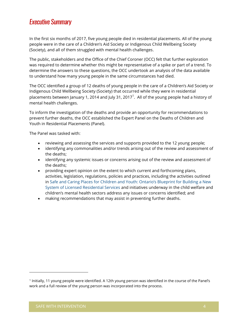## Executive Summary

In the first six months of 2017, five young people died in residential placements. All of the young people were in the care of a Children's Aid Society or Indigenous Child Wellbeing Society (Society), and all of them struggled with mental health challenges.

The public, stakeholders and the Office of the Chief Coroner (OCC) felt that further exploration was required to determine whether this might be representative of a spike or part of a trend. To determine the answers to these questions, the OCC undertook an analysis of the data available to understand how many young people in the same circumstances had died.

The OCC identified a group of 12 deaths of young people in the care of a Children's Aid Society or Indigenous Child Wellbeing Society (Society) that occurred while they were in residential placements between January 1, 2014 and July 31, 2017 $^{\text{1}}$ . All of the young people had a history of mental health challenges.

To inform the investigation of the deaths and provide an opportunity for recommendations to prevent further deaths, the OCC established the Expert Panel on the Deaths of Children and Youth in Residential Placements (Panel).

The Panel was tasked with:

- reviewing and assessing the services and supports provided to the 12 young people;
- identifying any commonalities and/or trends arising out of the review and assessment of the deaths;
- identifying any systemic issues or concerns arising out of the review and assessment of the deaths;
- providing expert opinion on the extent to which current and forthcoming plans, activities, legislation, regulations, policies and practices, including the activities outlined in Safe [and Caring Places for Children and Youth: Ontario's Blueprint for Building a New](http://www.children.gov.on.ca/htdocs/English/professionals/childwelfare/residential/blueprint/index.aspx) [System of Licensed Residential Services](http://www.children.gov.on.ca/htdocs/English/professionals/childwelfare/residential/blueprint/index.aspx) and initiatives underway in the child welfare and children's mental health sectors address any issues or concerns identified; and
- making recommendations that may assist in preventing further deaths.

<sup>1</sup> Initially, 11 young people were identified. A 12th young person was identified in the course of the Panel's work and a full review of the young person was incorporated into the process.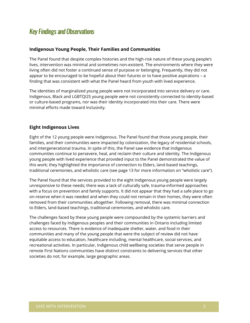## Key Findings and Observations

#### **Indigenous Young People, Their Families and Communities**

The Panel found that despite complex histories and the high-risk nature of these young people's lives, intervention was minimal and sometimes non-existent. The environments where they were living often did not foster a continued sense of purpose or belonging. Frequently, they did not appear to be encouraged to be hopeful about their futures or to have positive aspirations – a finding that was consistent with what the Panel heard from youth with lived experience.

The identities of marginalized young people were not incorporated into service delivery or care. Indigenous, Black and LGBTQI2S young people were not consistently connected to identity-based or culture-based programs, nor was their identity incorporated into their care. There were minimal efforts made toward inclusivity.

#### **Eight Indigenous Lives**

Eight of the 12 young people were Indigenous. The Panel found that those young people, their families, and their communities were impacted by colonization, the legacy of residential schools, and intergenerational trauma. In spite of this, the Panel saw evidence that Indigenous communities continue to persevere, heal, and reclaim their culture and identity. The Indigenous young people with lived experience that provided input to the Panel demonstrated the value of this work; they highlighted the importance of connection to Elders, land-based teachings, traditional ceremonies, and wholistic care (see page 13 for more information on "wholistic care").

The Panel found that the services provided to the eight Indigenous young people were largely unresponsive to these needs; there was a lack of culturally safe, trauma-informed approaches with a focus on prevention and family supports. It did not appear that they had a safe place to go on-reserve when it was needed and when they could not remain in their homes, they were often removed from their communities altogether. Following removal, there was minimal connection to Elders, land-based teachings, traditional ceremonies, and wholistic care.

The challenges faced by these young people were compounded by the systemic barriers and challenges faced by Indigenous peoples and their communities in Ontario including limited access to resources. There is evidence of inadequate shelter, water, and food in their communities and many of the young people that were the subject of review did not have equitable access to education, healthcare including, mental healthcare, social services, and recreational activities. In particular, Indigenous child wellbeing societies that serve people in remote First Nations communities have distinct constraints to delivering services that other societies do not; for example, large geographic areas.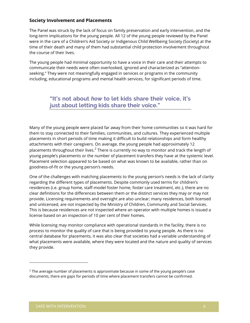#### **Society Involvement and Placements**

The Panel was struck by the lack of focus on family preservation and early intervention, and the long-term implications for the young people. All 12 of the young people reviewed by the Panel were in the care of a Children's Aid Society or Indigenous Child Wellbeing Society (Society) at the time of their death and many of them had substantial child protection involvement throughout the course of their lives.

The young people had minimal opportunity to have a voice in their care and their attempts to communicate their needs were often overlooked, ignored and characterized as "attentionseeking." They were not meaningfully engaged in services or programs in the community including, educational programs and mental health services, for significant periods of time.

## **"It's not about** *how* **to let kids share their voice, it's just about letting kids share their voice."**

Many of the young people were placed far away from their home communities so it was hard for them to stay connected to their families, communities, and cultures. They experienced multiple placements in short periods of time making it difficult to build relationships and form healthy attachments with their caregivers. On average, the young people had approximately 12 placements throughout their lives. $^2$  There is currently no way to monitor and track the length of young people's placements or the number of placement transfers they have at the systemic level. Placement selection appeared to be based on what was known to be available, rather than on goodness-of-fit or the young person's needs.

One of the challenges with matching placements to the young person's needs is the lack of clarity regarding the different types of placements. Despite commonly used terms for children's residences (i.e. group home, staff-model foster home, foster care treatment, etc.), there are no clear definitions for the differences between them or the distinct services they may or may not provide. Licensing requirements and oversight are also unclear; many residences, both licensed and unlicensed, are not inspected by the Ministry of Children, Community and Social Services. This is because residences are not inspected where an operator with multiple homes is issued a license based on an inspection of 10 per cent of their homes.

While licensing may monitor compliance with operational standards in the facility, there is no process to monitor the quality of care that is being provided to young people. As there is no central database for placements, it was also clear that societies had a variable understanding of what placements were available, where they were located and the nature and quality of services they provide.

 $2$  The average number of placements is approximate because in some of the young people's case documents, there are gaps for periods of time where placement transfers cannot be confirmed.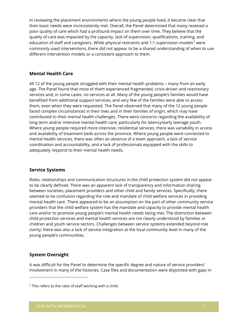In reviewing the placement environments where the young people lived, it became clear that their basic needs were inconsistently met. Overall, the Panel determined that many received a poor quality of care which had a profound impact on them over time. They believe that the quality of care was impacted by the capacity, lack of supervision, qualifications, training, and education of staff and caregivers. While physical restraints and 1:1 supervision models $^3$  were commonly used interventions, there did not appear to be a shared understanding of when to use different intervention models or a consistent approach to them.

#### **Mental Health Care**

All 12 of the young people struggled with their mental health problems – many from an early age. The Panel found that most of them experienced fragmented, crisis-driven and reactionary services and, in some cases, no services at all. Many of the young people's families would have benefited from additional support services, and very few of the families were able to access them, even when they were requested. The Panel observed that many of the 12 young people faced complex circumstances in their lives and in their families of origin, which may have contributed to their mental health challenges. There were concerns regarding the availability of long term and/or intensive mental health care; particularly for latency/early teenage youth. Where young people required more intensive, residential services, there was variability in access and availability of treatment beds across the province. Where young people were connected to mental health services, there was often an absence of a team approach, a lack of service coordination and accountability, and a lack of professionals equipped with the skills to adequately respond to their mental health needs.

#### **Service Systems**

Roles, relationships and communication structures in the child protection system did not appear to be clearly defined. There was an apparent lack of transparency and information sharing between societies, placement providers and other child and family services. Specifically, there seemed to be confusion regarding the role and mandate of child welfare services in providing mental health care. There appeared to be an assumption on the part of other community service providers that the child welfare system has the mandate and capacity to provide mental health care and/or to promote young people's mental health needs being met. The distinction between child protection services and mental health services are not clearly understood by families or children and youth service sectors. Challenges between service systems extended beyond role clarity; there was also a lack of service integration at the local community level in many of the young people's communities.

#### **System Oversight**

It was difficult for the Panel to determine the specific degree and nature of service providers' involvement in many of the histories. Case files and documentation were disjointed with gaps in

<sup>&</sup>lt;sup>3</sup> This refers to the ratio of staff working with a child.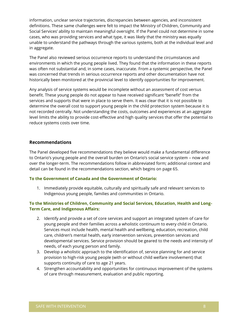information, unclear service trajectories, discrepancies between agencies, and inconsistent definitions. These same challenges were felt to impact the Ministry of Children, Community and Social Services' ability to maintain meaningful oversight. If the Panel could not determine in some cases, who was providing services and what type, it was likely that the ministry was equally unable to understand the pathways through the various systems, both at the individual level and in aggregate.

The Panel also reviewed serious occurrence reports to understand the circumstances and environments in which the young people lived. They found that the information in these reports was often not substantial and, in some cases, inaccurate. From a systemic perspective, the Panel was concerned that trends in serious occurrence reports and other documentation have not historically been monitored at the provincial level to identify opportunities for improvement.

Any analysis of service systems would be incomplete without an assessment of cost versus benefit. These young people do not appear to have received significant "benefit" from the services and supports that were in place to serve them. It was clear that it is not possible to determine the overall cost to support young people in the child protection system because it is not recorded centrally. Not understanding the costs, outcomes and experiences at an aggregate level limits the ability to provide cost-effective and high quality services that offer the potential to reduce systems costs over time.

#### **Recommendations**

The Panel developed five recommendations they believe would make a fundamental difference to Ontario's young people and the overall burden on Ontario's social service system – now and over the longer-term. The recommendations follow in abbreviated form; additional context and detail can be found in the recommendations section, which begins on page 65.

#### **To the Government of Canada and the Government of Ontario:**

1. Immediately provide equitable, culturally and spiritually safe and relevant services to Indigenous young people, families and communities in Ontario.

#### **To the Ministries of Children, Community and Social Services, Education, Health and Long-Term Care, and Indigenous Affairs:**

- 2. Identify and provide a set of core services and support an integrated system of care for young people and their families across a wholistic continuum to every child in Ontario. Services must include health, mental health and wellbeing, education, recreation, child care, children's mental health, early intervention services, prevention services and developmental services. Service provision should be geared to the needs and intensity of needs, of each young person and family.
- 3. Develop a wholistic approach to the identification of, service planning for and service provision to high-risk young people (with or without child welfare involvement) that supports continuity of care to age 21 years.
- 4. Strengthen accountability and opportunities for continuous improvement of the systems of care through measurement, evaluation and public reporting.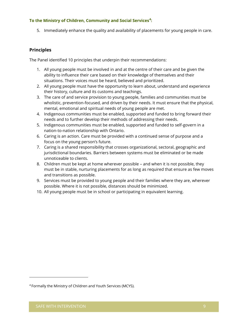#### **To the Ministry of Children, Community and Social Services<sup>4</sup> :**

5. Immediately enhance the quality and availability of placements for young people in care.

#### **Principles**

The Panel identified 10 principles that underpin their recommendations:

- 1. All young people must be involved in and at the centre of their care and be given the ability to influence their care based on their knowledge of themselves and their situations. Their voices must be heard, believed and prioritized.
- 2. All young people must have the opportunity to learn about, understand and experience their history, culture and its customs and teachings.
- 3. The care of and service provision to young people, families and communities must be wholistic, prevention-focused, and driven by their needs. It must ensure that the physical, mental, emotional and spiritual needs of young people are met.
- 4. Indigenous communities must be enabled, supported and funded to bring forward their needs and to further develop their methods of addressing their needs.
- 5. Indigenous communities must be enabled, supported and funded to self-govern in a nation-to-nation relationship with Ontario.
- 6. Caring is an action. Care must be provided with a continued sense of purpose and a focus on the young person's future.
- 7. Caring is a shared responsibility that crosses organizational, sectoral, geographic and jurisdictional boundaries. Barriers between systems must be eliminated or be made unnoticeable to clients.
- 8. Children must be kept at home wherever possible and when it is not possible, they must be in stable, nurturing placements for as long as required that ensure as few moves and transitions as possible.
- 9. Services must be provided to young people and their families where they are, wherever possible. Where it is not possible, distances should be minimized.
- 10. All young people must be in school or participating in equivalent learning.

<sup>4</sup> Formally the Ministry of Children and Youth Services (MCYS).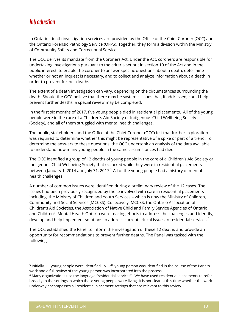## **Introduction**

In Ontario, death investigation services are provided by the Office of the Chief Coroner (OCC) and the Ontario Forensic Pathology Service (OFPS). Together, they form a division within the Ministry of Community Safety and Correctional Services.

The OCC derives its mandate from the Coroners Act. Under the Act, coroners are responsible for undertaking investigations pursuant to the criteria set out in section 10 of the Act and in the public interest, to enable the coroner to answer specific questions about a death, determine whether or not an inquest is necessary, and to collect and analyze information about a death in order to prevent further deaths.

The extent of a death investigation can vary, depending on the circumstances surrounding the death. Should the OCC believe that there may be systemic issues that, if addressed, could help prevent further deaths, a special review may be completed.

In the first six months of 2017, five young people died in residential placements. All of the young people were in the care of a Children's Aid Society or Indigenous Child Wellbeing Society (Society), and all of them struggled with mental health challenges.

The public, stakeholders and the Office of the Chief Coroner (OCC) felt that further exploration was required to determine whether this might be representative of a spike or part of a trend. To determine the answers to these questions, the OCC undertook an analysis of the data available to understand how many young people in the same circumstances had died.

The OCC identified a group of 12 deaths of young people in the care of a Children's Aid Society or Indigenous Child Wellbeing Society that occurred while they were in residential placements between January 1, 2014 and July 31, 2017.<sup>5</sup> All of the young people had a history of mental health challenges.

A number of common issues were identified during a preliminary review of the 12 cases. The issues had been previously recognized by those involved with care in residential placements including, the Ministry of Children and Youth Services – which is now the Ministry of Children, Community and Social Services (MCCSS). Collectively, MCCSS, the Ontario Association of Children's Aid Societies, the Association of Native Child and Family Service Agencies of Ontario and Children's Mental Health Ontario were making efforts to address the challenges and identify, develop and help implement solutions to address current critical issues in residential services. $^{\rm 6}$ 

The OCC established the Panel to inform the investigation of these 12 deaths and provide an opportunity for recommendations to prevent further deaths. The Panel was tasked with the following:

<sup>&</sup>lt;sup>5</sup> Initially, 11 young people were identified. A 12<sup>th</sup> young person was identified in the course of the Panel's work and a full review of the young person was incorporated into the process.

 $^6$  Many organizations use the language "residential services". We have used residential placements to refer  $\,$ broadly to the settings in which these young people were living. It is not clear at this time whether the work underway encompasses all residential placement settings that are relevant to this review.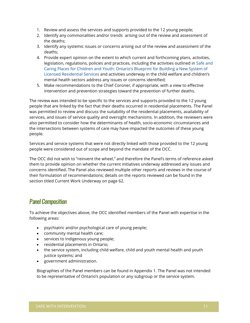- 1. Review and assess the services and supports provided to the 12 young people;
- 2. Identify any commonalities and/or trends arising out of the review and assessment of the deaths;
- 3. Identify any systemic issues or concerns arising out of the review and assessment of the deaths;
- 4. Provide expert opinion on the extent to which current and forthcoming plans, activities, legislation, regulations, policies and practices, including the activities outlined in [Safe and](http://www.children.gov.on.ca/htdocs/English/professionals/childwelfare/residential/blueprint/index.aspx) Caring Places for Children and Youth[: Ontario's Blueprint for Building a New System of](http://www.children.gov.on.ca/htdocs/English/professionals/childwelfare/residential/blueprint/index.aspx) [Licensed Residential Services](http://www.children.gov.on.ca/htdocs/English/professionals/childwelfare/residential/blueprint/index.aspx) and activities underway in the child welfare and children's mental health sectors address any issues or concerns identified;
- 5. Make recommendations to the Chief Coroner, if appropriate, with a view to effective intervention and prevention strategies toward the prevention of further deaths.

The review was intended to be specific to the services and supports provided to the 12 young people that are linked by the fact that their deaths occurred in residential placements. The Panel was permitted to review and discuss the suitability of the residential placements, availability of services, and issues of service quality and oversight mechanisms. In addition, the reviewers were also permitted to consider how the determinants of health, socio-economic circumstances and the intersections between systems of care may have impacted the outcomes of these young people.

Services and service systems that were not directly linked with those provided to the 12 young people were considered out of scope and beyond the mandate of the OCC.

The OCC did not wish to "reinvent the wheel," and therefore the Panel's terms of reference asked them to provide opinion on whether the current initiatives underway addressed any issues and concerns identified. The Panel also reviewed multiple other reports and reviews in the course of their formulation of recommendations; details on the reports reviewed can be found in the section titled Current Work Underway on page 62.

## Panel Composition

To achieve the objectives above, the OCC identified members of the Panel with expertise in the following areas:

- psychiatric and/or psychological care of young people;
- community mental health care;
- services to Indigenous young people;
- residential placements in Ontario;
- the service system, including child welfare, child and youth mental health and youth justice systems; and
- government administration.

Biographies of the Panel members can be found in Appendix 1. The Panel was not intended to be representative of Ontario's population or any subgroup or the service system.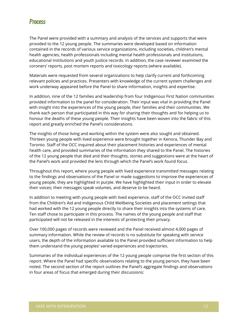## **Process**

The Panel were provided with a summary and analysis of the services and supports that were provided to the 12 young people. The summaries were developed based on information contained in the records of various service organizations, including societies, children's mental health agencies, health professionals including mental health professionals and institutions, educational institutions and youth justice records. In addition, the case reviewer examined the coroners' reports, post mortem reports and toxicology reports (where available).

Materials were requested from several organizations to help clarify current and forthcoming relevant policies and practices. Presenters with knowledge of the current system challenges and work underway appeared before the Panel to share information, insights and expertise.

In addition, nine of the 12 families and leadership from four Indigenous First Nation communities provided information to the panel for consideration. Their input was vital in providing the Panel with insight into the experiences of the young people, their families and their communities. We thank each person that participated in this way for sharing their thoughts and for helping us to honour the deaths of these young people. Their insights have been woven into the fabric of this report and greatly enriched the Panel's considerations.

The insights of those living and working within the system were also sought and obtained. Thirteen young people with lived experience were brought together in Kenora, Thunder Bay and Toronto. Staff of the OCC inquired about their placement histories and experiences of mental health care, and provided summaries of the information they shared to the Panel. The histories of the 12 young people that died and their thoughts, stories and suggestions were at the heart of the Panel's work and provided the lens through which the Panel's work found focus.

Throughout this report, where young people with lived experience transmitted messages relating to the findings and observations of the Panel or made suggestions to improve the experiences of young people, they are highlighted in purple. We have highlighted their input in order to elevate their voices; their messages speak volumes, and deserve to be heard.

In addition to meeting with young people with lived experience, staff of the OCC invited staff from the Children's Aid and Indigenous Child Wellbeing Societies and placement settings that had worked with the 12 young people directly to share their insights into the systems of care. Ten staff chose to participate in this process. The names of the young people and staff that participated will not be released in the interests of protecting their privacy.

Over 100,000 pages of records were reviewed and the Panel received almost 4,000 pages of summary information. While the review of records is no substitute for speaking with service users, the depth of the information available to the Panel provided sufficient information to help them understand the young peoples' varied experiences and trajectories.

Summaries of the individual experiences of the 12 young people comprise the first section of this report. Where the Panel had specific observations relating to the young person, they have been noted. The second section of the report outlines the Panel's aggregate findings and observations in four areas of focus that emerged during their discussions: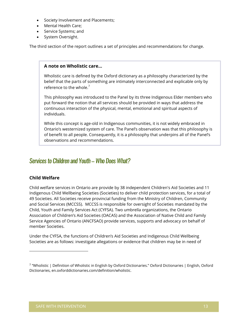- Society Involvement and Placements;
- Mental Health Care:
- Service Systems; and
- System Oversight.

The third section of the report outlines a set of principles and recommendations for change.

#### **A note on Wholistic care…**

Wholistic care is defined by the Oxford dictionary as a philosophy characterized by the belief that the parts of something are intimately interconnected and explicable only by reference to the whole. $7$ 

This philosophy was introduced to the Panel by its three Indigenous Elder members who put forward the notion that all services should be provided in ways that address the continuous interaction of the physical, mental, emotional and spiritual aspects of individuals.

While this concept is age-old in Indigenous communities, it is not widely embraced in Ontario's westernized system of care. The Panel's observation was that this philosophy is of benefit to all people. Consequently, it is a philosophy that underpins all of the Panel's observations and recommendations.

### Services to Children and Youth – Who Does What?

#### **Child Welfare**

Child welfare services in Ontario are provide by 38 independent Children's Aid Societies and 11 Indigenous Child Wellbeing Societies (Societies) to deliver child protection services, for a total of 49 Societies. All Societies receive provincial funding from the Ministry of Children, Community and Social Services (MCCSS). MCCSS is responsible for oversight of Societies mandated by the Child, Youth and Family Services Act (CYFSA). Two umbrella organizations, the Ontario Association of Children's Aid Societies (OACAS) and the Association of Native Child and Family Service Agencies of Ontario (ANCFSAO) provide services, supports and advocacy on behalf of member Societies.

Under the CYFSA, the functions of Children's Aid Societies and Indigenous Child Wellbeing Societies are as follows: investigate allegations or evidence that children may be in need of

<sup>7</sup> "Wholistic | Definition of Wholistic in English by Oxford Dictionaries." Oxford Dictionaries | English, Oxford Dictionaries, en.oxforddictionaries.com/definition/wholistic.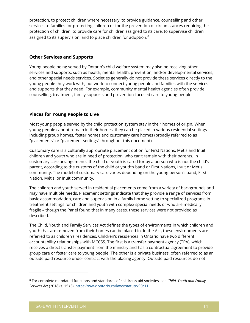protection, to protect children where necessary, to provide guidance, counselling and other services to families for protecting children or for the prevention of circumstances requiring the protection of children, to provide care for children assigned to its care, to supervise children assigned to its supervision, and to place children for adoption. $^8$ 

#### **Other Services and Supports**

Young people being served by Ontario's child welfare system may also be receiving other services and supports, such as health, mental health, prevention, and/or developmental services, and other special needs services. Societies generally do not provide these services directly to the young people they work with, but work to connect young people and families with the services and supports that they need. For example, community mental health agencies often provide counselling, treatment, family supports and prevention-focused care to young people.

#### **Places for Young People to Live**

Most young people served by the child protection system stay in their homes of origin. When young people cannot remain in their homes, they can be placed in various residential settings including group homes, foster homes and customary care homes (broadly referred to as "placements" or "placement settings" throughout this document).

Customary care is a culturally appropriate placement option for First Nations, Métis and Inuit children and youth who are in need of protection, who can't remain with their parents. In customary care arrangements, the child or youth is cared for by a person who is not the child's parent, according to the customs of the child or youth's band or First Nations, Inuit or Métis community. The model of customary care varies depending on the young person's band, First Nation, Métis, or Inuit community.

The children and youth served in residential placements come from a variety of backgrounds and may have multiple needs. Placement settings indicate that they provide a range of services from basic accommodation, care and supervision in a family home setting to specialized programs in treatment settings for children and youth with complex special needs or who are medically fragile – though the Panel found that in many cases, these services were not provided as described.

The Child, Youth and Family Services Act defines the types of environments in which children and youth that are removed from their homes can be placed in. In the Act, these environments are referred to as children's residences. Children's residences in Ontario have two different accountability relationships with MCCSS. The first is a transfer payment agency (TPA), which receives a direct transfer payment from the ministry and has a contractual agreement to provide group care or foster care to young people. The other is a private business, often referred to as an outside paid resource under contract with the placing agency. Outside paid resources do not

<sup>8</sup> For complete mandated functions and standards of children's aid societies, see *Child, Youth and Family Services Act* (2018) s. 15 (3).<https://www.ontario.ca/laws/statute/90c11>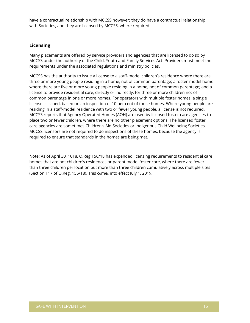have a contractual relationship with MCCSS however; they do have a contractual relationship with Societies, and they are licensed by MCCSS, where required.

#### **Licensing**

Many placements are offered by service providers and agencies that are licensed to do so by MCCSS under the authority of the Child, Youth and Family Services Act. Providers must meet the requirements under the associated regulations and ministry policies.

MCCSS has the authority to issue a license to a staff-model children's residence where there are three or more young people residing in a home, not of common parentage; a foster-model home where there are five or more young people residing in a home, not of common parentage; and a license to provide residential care, directly or indirectly, for three or more children not of common parentage in one or more homes. For operators with multiple foster homes, a single license is issued, based on an inspection of 10 per cent of those homes. Where young people are residing in a staff-model residence with two or fewer young people, a license is not required. MCCSS reports that Agency Operated Homes (AOH) are used by licensed foster care agencies to place two or fewer children, where there are no other placement options. The licensed foster care agencies are sometimes Children's Aid Societies or Indigenous Child Wellbeing Societies. MCCSS licensors are not required to do inspections of these homes, because the agency is required to ensure that standards in the homes are being met.

Note: As of April 30, 1018, O.Reg 156/18 has expended licensing requirements to residential care homes that are not children's residences or parent model foster care, where there are fewer than three children per location but more than three children cumulatively across multiple sites (Section 117 of O.Reg. 156/18). This comes into effect July 1, 2019.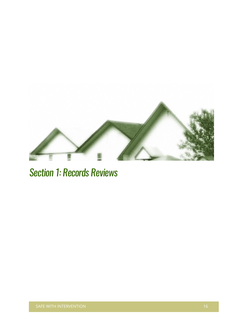

Section 1: Records Reviews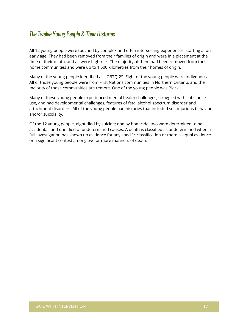## The Twelve Young People & Their Histories

All 12 young people were touched by complex and often intersecting experiences, starting at an early age. They had been removed from their families of origin and were in a placement at the time of their death, and all were high-risk. The majority of them had been removed from their home communities and were up to 1,600 kilometres from their homes of origin.

Many of the young people identified as LGBTQI2S. Eight of the young people were Indigenous. All of those young people were from First Nations communities in Northern Ontario, and the majority of those communities are remote. One of the young people was Black.

Many of these young people experienced mental health challenges, struggled with substance use, and had developmental challenges, features of fetal alcohol spectrum disorder and attachment disorders. All of the young people had histories that included self-injurious behaviors and/or suicidality.

Of the 12 young people, eight died by suicide; one by homicide; two were determined to be accidental; and one died of undetermined causes. A death is classified as undetermined when a full investigation has shown no evidence for any specific classification or there is equal evidence or a significant contest among two or more manners of death.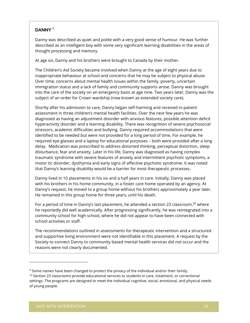#### **DANNY** <sup>9</sup>

Danny was described as quiet and polite with a very good sense of humour. He was further described as an intelligent boy with some very significant learning disabilities in the areas of thought processing and memory.

At age six, Danny and his brothers were brought to Canada by their mother.

The Children's Aid Society became involved when Danny at the age of eight years due to inappropriate behaviour at school and concerns that he may be subject to physical abuse. Over time, concerns about mental health issues within the family, poverty, uncertain immigration status and a lack of family and community supports arose. Danny was brought into the care of the society on an emergency basis at age nine. Two years later, Danny was the subject of an order for Crown wardship (now known as extended society care).

Shortly after his admission to care, Danny began self-harming and received in-patient assessment in three children's mental health facilities. Over the next few years he was diagnosed as having an adjustment disorder with anxious features, possible attention deficit hyperactivity disorder and a learning disability. There was recognition of severe psychosocial stressors, academic difficulties and bullying. Danny required accommodations that were identified to be needed but were not provided for a long period of time. For example, he required eye glasses and a laptop for educational purposes – both were provided after a long delay. Medication was prescribed to address distorted thinking, perceptual distortion, sleep disturbance, fear and anxiety. Later in his life, Danny was diagnosed as having complex traumatic syndrome with severe features of anxiety and intermittent psychotic symptoms, a motor tic disorder, dysthymia and early signs of affective psychotic syndrome. It was noted that Danny's learning disability would be a barrier for most therapeutic processes.

Danny lived in 10 placements in his six and a half years in care. Initially, Danny was placed with his brothers in his home community, in a foster care home operated by an agency. At Danny's request, he moved to a group home without his brothers approximately a year later. He remained in this group home for three years, until his death.

For a period of time in Danny's last placement, he attended a section 23 classroom,<sup>10</sup> where he reportedly did well academically. After progressing significantly, he was reintegrated into a community school for high school, where he did not appear to have been connected with school activities or staff.

The recommendations outlined in assessments for therapeutic intervention and a structured and supportive living environment were not identifiable in this placement. A request by the Society to connect Danny to community based mental health services did not occur and the reasons were not clearly documented.

<sup>&</sup>lt;sup>9</sup> Some names have been changed to protect the privacy of the individual and/or their family. <sup>10</sup> Section 23 classrooms provide educational services to students in care, treatment, or correctional settings. The programs are designed to meet the individual cognitive, social, emotional, and physical needs of young people.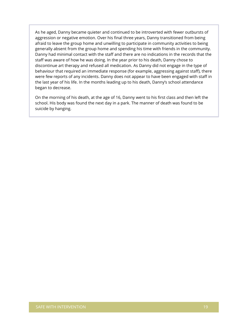As he aged, Danny became quieter and continued to be introverted with fewer outbursts of aggression or negative emotion. Over his final three years, Danny transitioned from being afraid to leave the group home and unwilling to participate in community activities to being generally absent from the group home and spending his time with friends in the community. Danny had minimal contact with the staff and there are no indications in the records that the staff was aware of how he was doing. In the year prior to his death, Danny chose to discontinue art therapy and refused all medication. As Danny did not engage in the type of behaviour that required an immediate response (for example, aggressing against staff), there were few reports of any incidents. Danny does not appear to have been engaged with staff in the last year of his life. In the months leading up to his death, Danny's school attendance began to decrease.

On the morning of his death, at the age of 16, Danny went to his first class and then left the school. His body was found the next day in a park. The manner of death was found to be suicide by hanging.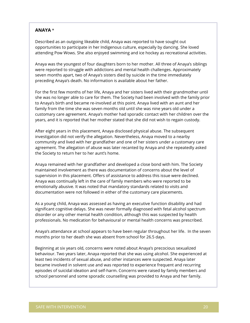#### **ANAYA** \*

Described as an outgoing likeable child, Anaya was reported to have sought out opportunities to participate in her Indigenous culture, especially by dancing. She loved attending Pow Wows. She also enjoyed swimming and ice hockey as recreational activities.

Anaya was the youngest of four daughters born to her mother. All three of Anaya's siblings were reported to struggle with addictions and mental health challenges. Approximately seven months apart, two of Anaya's sisters died by suicide in the time immediately preceding Anaya's death. No information is available about her father.

For the first few months of her life, Anaya and her sisters lived with their grandmother until she was no longer able to care for them. The Society had been involved with the family prior to Anaya's birth and became re-involved at this point. Anaya lived with an aunt and her family from the time she was seven months old until she was nine years old under a customary care agreement. Anaya's mother had sporadic contact with her children over the years, and it is reported that her mother stated that she did not wish to regain custody.

After eight years in this placement, Anaya disclosed physical abuse. The subsequent investigation did not verify the allegation. Nevertheless, Anaya moved to a nearby community and lived with her grandfather and one of her sisters under a customary care agreement. The allegation of abuse was later recanted by Anaya and she repeatedly asked the Society to return her to her aunt's home.

Anaya remained with her grandfather and developed a close bond with him. The Society maintained involvement as there was documentation of concerns about the level of supervision in this placement. Offers of assistance to address this issue were declined. Anaya was continually left in the care of family members who were reported to be emotionally abusive. It was noted that mandatory standards related to visits and documentation were not followed in either of the customary care placements.

As a young child, Anaya was assessed as having an executive function disability and had significant cognitive delays. She was never formally diagnosed with fetal alcohol spectrum disorder or any other mental health condition, although this was suspected by health professionals. No medication for behavioural or mental health concerns was prescribed.

Anaya's attendance at school appears to have been regular throughout her life. In the seven months prior to her death she was absent from school for 26.5 days.

Beginning at six years old, concerns were noted about Anaya's precocious sexualized behaviour. Two years later, Anaya reported that she was using alcohol. She experienced at least two incidents of sexual abuse, and other instances were suspected. Anaya later became involved in solvent use and was reported to experience frequent and recurring episodes of suicidal ideation and self-harm. Concerns were raised by family members and school personnel and some sporadic counselling was provided to Anaya and her family.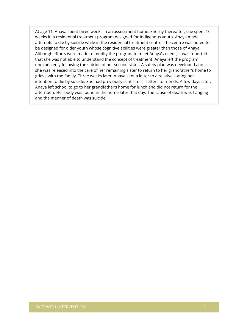At age 11, Anaya spent three weeks in an assessment home. Shortly thereafter, she spent 10 weeks in a residential treatment program designed for Indigenous youth. Anaya made attempts to die by suicide while in the residential treatment centre. The centre was noted to be designed for older youth whose cognitive abilities were greater than those of Anaya. Although efforts were made to modify the program to meet Anaya's needs, it was reported that she was not able to understand the concept of treatment. Anaya left the program unexpectedly following the suicide of her second sister. A safety plan was developed and she was released into the care of her remaining sister to return to her grandfather's home to grieve with the family. Three weeks later, Anaya sent a letter to a relative stating her intention to die by suicide. She had previously sent similar letters to friends. A few days later, Anaya left school to go to her grandfather's home for lunch and did not return for the afternoon. Her body was found in the home later that day. The cause of death was hanging and the manner of death was suicide.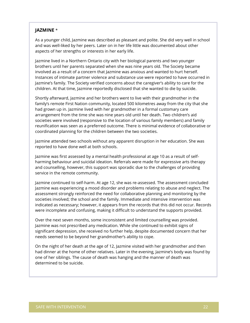#### **JAZMINE** \*

As a younger child, Jazmine was described as pleasant and polite. She did very well in school and was well-liked by her peers. Later on in her life little was documented about other aspects of her strengths or interests in her early life.

Jazmine lived in a Northern Ontario city with her biological parents and two younger brothers until her parents separated when she was nine years old. The Society became involved as a result of a concern that Jazmine was anxious and wanted to hurt herself. Instances of intimate partner violence and substance use were reported to have occurred in Jazmine's family. The Society verified concerns about the caregiver's ability to care for the children. At that time, Jazmine reportedly disclosed that she wanted to die by suicide.

Shortly afterward, Jazmine and her brothers went to live with their grandmother in the family's remote First Nation community, located 500 kilometres away from the city that she had grown up in. Jazmine lived with her grandmother in a formal customary care arrangement from the time she was nine years old until her death. Two children's aid societies were involved (responsive to the location of various family members) and family reunification was seen as a preferred outcome. There is minimal evidence of collaborative or coordinated planning for the children between the two societies.

Jazmine attended two schools without any apparent disruption in her education. She was reported to have done well at both schools.

Jazmine was first assessed by a mental health professional at age 10 as a result of selfharming behaviour and suicidal ideation. Referrals were made for expressive arts therapy and counselling, however, this support was sporadic due to the challenges of providing service in the remote community.

Jazmine continued to self-harm. At age 12, she was re-assessed. The assessment concluded Jazmine was experiencing a mood disorder and problems relating to abuse and neglect. The assessment strongly reinforced the need for collaborative planning and monitoring by the societies involved; the school and the family. Immediate and intensive intervention was indicated as necessary; however, it appears from the records that this did not occur. Records were incomplete and confusing, making it difficult to understand the supports provided.

Over the next seven months, some inconsistent and limited counselling was provided. Jazmine was not prescribed any medication. While she continued to exhibit signs of significant depression, she received no further help, despite documented concern that her needs seemed to be beyond her grandmother's ability to cope.

On the night of her death at the age of 12, Jazmine visited with her grandmother and then had dinner at the home of other relatives. Later in the evening, Jazmine's body was found by one of her siblings. The cause of death was hanging and the manner of death was determined to be suicide.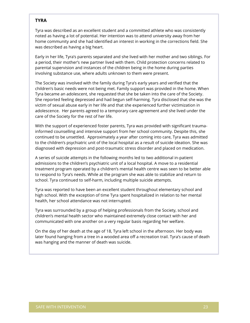#### **TYRA**

Tyra was described as an excellent student and a committed athlete who was consistently noted as having a lot of potential. Her intention was to attend university away from her home community and she had identified an interest in working in the corrections field. She was described as having a big heart.

Early in her life, Tyra's parents separated and she lived with her mother and two siblings. For a period, their mother's new partner lived with them. Child protection concerns related to parental supervision and instances of the children being in the home during parties involving substance use, where adults unknown to them were present.

The Society was involved with the family during Tyra's early years and verified that the children's basic needs were not being met. Family support was provided in the home. When Tyra became an adolescent, she requested that she be taken into the care of the Society. She reported feeling depressed and had begun self-harming. Tyra disclosed that she was the victim of sexual abuse early in her life and that she experienced further victimization in adolescence. Her parents agreed to a temporary care agreement and she lived under the care of the Society for the rest of her life.

With the support of experienced foster parents, Tyra was provided with significant traumainformed counselling and intensive support from her school community. Despite this, she continued to be unsettled. Approximately a year after coming into care, Tyra was admitted to the children's psychiatric unit of the local hospital as a result of suicide ideation. She was diagnosed with depression and post-traumatic stress disorder and placed on medication.

A series of suicide attempts in the following months led to two additional in-patient admissions to the children's psychiatric unit of a local hospital. A move to a residential treatment program operated by a children's mental health centre was seen to be better able to respond to Tyra's needs. While at the program she was able to stabilize and return to school. Tyra continued to self-harm, including multiple suicide attempts.

Tyra was reported to have been an excellent student throughout elementary school and high school. With the exception of time Tyra spent hospitalized in relation to her mental health, her school attendance was not interrupted.

Tyra was surrounded by a group of helping professionals from the Society, school and children's mental health sector who maintained extremely close contact with her and communicated with one another on a very regular basis regarding her welfare.

On the day of her death at the age of 18, Tyra left school in the afternoon. Her body was later found hanging from a tree in a wooded area off a recreation trail. Tyra's cause of death was hanging and the manner of death was suicide.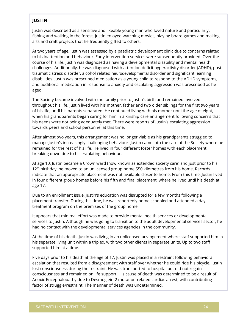#### **JUSTIN**

Justin was described as a sensitive and likeable young man who loved nature and particularly, fishing and walking in the forest. Justin enjoyed watching movies, playing board games and making arts and craft projects that he frequently gifted to others.

At two years of age, Justin was assessed by a paediatric development clinic due to concerns related to his inattention and behaviour. Early intervention services were subsequently provided. Over the course of his life, Justin was diagnosed as having a developmental disability and mental health challenges. Additionally, he was diagnosed with attention deficit hyperactivity disorder (ADHD), posttraumatic stress disorder, alcohol related neurodevelopmental disorder and significant learning disabilities. Justin was prescribed medication as a young child to respond to the ADHD symptoms, and additional medication in response to anxiety and escalating aggression was prescribed as he aged.

The Society became involved with the family prior to Justin's birth and remained involved throughout his life. Justin lived with his mother, father and two older siblings for the first two years of his life, until his parents separated. He continued living with his mother until the age of eight, when his grandparents began caring for him in a kinship care arrangement following concerns that his needs were not being adequately met. There were reports of Justin's escalating aggression towards peers and school personnel at this time.

After almost two years, this arrangement was no longer viable as his grandparents struggled to manage Justin's increasingly challenging behaviour. Justin came into the care of the Society where he remained for the rest of his life. He lived in four different foster homes with each placement breaking down due to his escalating behaviour.

At age 10, Justin became a Crown ward (now known as extended society care) and just prior to his 12<sup>th</sup> birthday, he moved to an unlicensed group home 550 kilometres from his home. Records indicate that an appropriate placement was not available closer to home. From this time, Justin lived in four different group homes before his fifth and final placement, where he lived until his death at age 17.

Due to an enrollment issue, Justin's education was disrupted for a few months following a placement transfer. During this time, he was reportedly home schooled and attended a day treatment program on the premises of the group home.

It appears that minimal effort was made to provide mental health services or developmental services to Justin. Although he was going to transition to the adult developmental services sector, he had no contact with the developmental services agencies in the community.

At the time of his death, Justin was living in an unlicensed arrangement where staff supported him in his separate living unit within a triplex, with two other clients in separate units. Up to two staff supported him at a time.

Five days prior to his death at the age of 17, Justin was placed in a restraint following behavioral escalation that resulted from a disagreement with staff over whether he could ride his bicycle. Justin lost consciousness during the restraint. He was transported to hospital but did not regain consciousness and remained on life support. His cause of death was determined to be a result of Anoxic Encephalopathy due to Desmoglein-2 mutation-related cardiac arrest, with contributing factor of struggle/restraint. The manner of death was undetermined.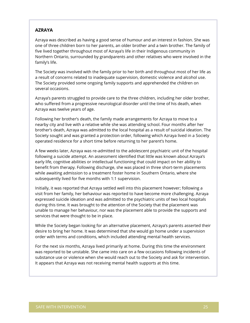#### **AZRAYA**

Azraya was described as having a good sense of humour and an interest in fashion. She was one of three children born to her parents, an older brother and a twin brother. The family of five lived together throughout most of Azraya's life in their Indigenous community in Northern Ontario, surrounded by grandparents and other relatives who were involved in the family's life.

The Society was involved with the family prior to her birth and throughout most of her life as a result of concerns related to inadequate supervision, domestic violence and alcohol use. The Society provided some ongoing family supports and apprehended the children on several occasions.

Azraya's parents struggled to provide care to the three children, including her older brother, who suffered from a progressive neurological disorder until the time of his death, when Azraya was twelve years of age.

Following her brother's death, the family made arrangements for Azraya to move to a nearby city and live with a relative while she was attending school. Four months after her brother's death, Azraya was admitted to the local hospital as a result of suicidal ideation. The Society sought and was granted a protection order, following which Azraya lived in a Society operated residence for a short time before returning to her parent's home.

A few weeks later, Azraya was re-admitted to the adolescent psychiatric unit of the hospital following a suicide attempt. An assessment identified that little was known about Azraya's early life, cognitive abilities or intellectual functioning that could impact on her ability to benefit from therapy. Following discharge, she was placed in three short-term placements while awaiting admission to a treatment foster home in Southern Ontario, where she subsequently lived for five months with 1:1 supervision.

Initially, it was reported that Azraya settled well into this placement however; following a visit from her family, her behaviour was reported to have become more challenging. Azraya expressed suicide ideation and was admitted to the psychiatric units of two local hospitals during this time. It was brought to the attention of the Society that the placement was unable to manage her behaviour, nor was the placement able to provide the supports and services that were thought to be in place.

While the Society began looking for an alternative placement, Azraya's parents asserted their desire to bring her home. It was determined that she would go home under a supervision order with terms and conditions, which included attending mental health services.

For the next six months, Azraya lived primarily at home. During this time the environment was reported to be unstable. She came into care on a few occasions following incidents of substance use or violence when she would reach out to the Society and ask for intervention. It appears that Azraya was not receiving mental health supports at this time.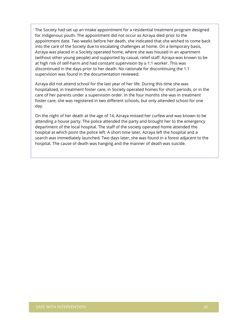The Society had set up an intake appointment for a residential treatment program designed for Indigenous youth. The appointment did not occur as Azraya died prior to the appointment date. Two weeks before her death, she indicated that she wished to come back into the care of the Society due to escalating challenges at home. On a temporary basis, Azraya was placed in a Society operated home, where she was housed in an apartment (without other young people) and supported by casual, relief staff. Azraya was known to be at high risk of self-harm and had constant supervision by a 1:1 worker. This was discontinued in the days prior to her death. No rationale for discontinuing the 1:1 supervision was found in the documentation reviewed.

Azraya did not attend school for the last year of her life. During this time she was hospitalized, in treatment foster care, in Society operated homes for short periods, or in the care of her parents under a supervision order. In the four months she was in treatment foster care, she was registered in two different schools, but only attended school for one day.

On the night of her death at the age of 14, Azraya missed her curfew and was known to be attending a house party. The police attended the party and brought her to the emergency department of the local hospital. The staff of the society operated home attended the hospital at which point the police left. A short time later, Azraya left the hospital and a search was immediately launched. Two days later, she was found in a forest adjacent to the hospital. The cause of death was hanging and the manner of death was suicide.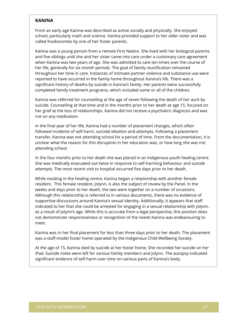#### **KANINA**

From an early age Kanina was described as active socially and physically. She enjoyed school, particularly math and science. Kanina provided support to her older sister and was called Kookooomes by one of her foster parents.

Kanina was a young person from a remote First Nation. She lived with her biological parents and five siblings until she and her sister came into care under a customary care agreement when Kanina was two years of age. She was admitted to care ten times over the course of her life, generally for six month periods. The goal of family reunification remained throughout her time in care. Instances of intimate partner violence and substance use were reported to have occurred in the family home throughout Kanina's life. There was a significant history of deaths by suicide in Kanina's family. Her parents twice successfully completed family treatment programs, which included some or all of the children.

Kanina was referred for counselling at the age of seven following the death of her aunt by suicide. Counselling at that time and in the months prior to her death at age 15, focused on her grief at the loss of relationships. Kanina did not receive a psychiatric diagnosis and was not on any medication.

In the final year of her life, Kanina had a number of placement changes, which often followed incidents of self-harm, suicidal ideation and attempts. Following a placement transfer, Kanina was not attending school for a period of time. From the documentation, it is unclear what the reason for this disruption in her education was, or how long she was not attending school.

In the four months prior to her death she was placed in an Indigenous youth healing centre. She was medically evacuated out twice in response to self-harming behaviour and suicide attempts. The most recent visit to hospital occurred five days prior to her death.

While residing in the healing centre, Kanina began a relationship with another female resident. This female resident, Jolynn, is also the subject of review by the Panel. In the weeks and days prior to her death, the two were together on a number of occasions. Although this relationship is referred to in various documents, there was no evidence of supportive discussions around Kanina's sexual identity. Additionally, it appears that staff indicated to her that she could be arrested for engaging in a sexual relationship with Jolynn, as a result of Jolynn's age. While this is accurate from a legal perspective, this position does not demonstrate responsiveness or recognition of the needs Kanina was endeavouring to meet.

Kanina was in her final placement for less than three days prior to her death. The placement was a staff-model foster home operated by the Indigenous Child Wellbeing Society.

At the age of 15, Kanina died by suicide at her foster home. She recorded her suicide on her iPad. Suicide notes were left for various family members and Jolynn. The autopsy indicated significant evidence of self-harm over time on various parts of Kanina's body.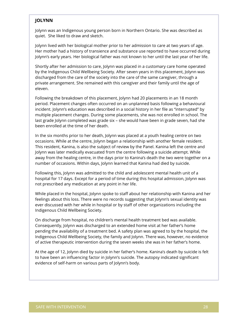#### **JOLYNN**

Jolynn was an Indigenous young person born in Northern Ontario. She was described as quiet. She liked to draw and sketch.

Jolynn lived with her biological mother prior to her admission to care at two years of age. Her mother had a history of transience and substance use reported to have occurred during Jolynn's early years. Her biological father was not known to her until the last year of her life.

Shortly after her admission to care, Jolynn was placed in a customary care home operated by the Indigenous Child Wellbeing Society. After seven years in this placement, Jolynn was discharged from the care of the society into the care of the same caregiver, through a private arrangement. She remained with this caregiver and their family until the age of eleven.

Following the breakdown of this placement, Jolynn had 20 placements in an 18 month period. Placement changes often occurred on an unplanned basis following a behavioural incident. Jolynn's education was described in a social history in her file as "interrupted" by multiple placement changes. During some placements, she was not enrolled in school. The last grade Jolynn completed was grade six – she would have been in grade seven, had she been enrolled at the time of her death.

In the six months prior to her death, Jolynn was placed at a youth healing centre on two occasions. While at the centre, Jolynn began a relationship with another female resident. This resident, Kanina, is also the subject of review by the Panel. Kanina left the centre and Jolynn was later medically evacuated from the centre following a suicide attempt. While away from the healing centre, in the days prior to Kanina's death the two were together on a number of occasions. Within days, Jolynn learned that Kanina had died by suicide.

Following this, Jolynn was admitted to the child and adolescent mental health unit of a hospital for 17 days. Except for a period of time during this hospital admission, Jolynn was not prescribed any medication at any point in her life.

While placed in the hospital, Jolynn spoke to staff about her relationship with Kanina and her feelings about this loss. There were no records suggesting that Jolynn's sexual identity was ever discussed with her while in hospital or by staff of other organizations including the Indigenous Child Wellbeing Society.

On discharge from hospital, no children's mental health treatment bed was available. Consequently, Jolynn was discharged to an extended home visit at her father's home pending the availability of a treatment bed. A safety plan was agreed to by the hospital, the Indigenous Child Wellbeing Society, the family and Jolynn. There was, however, no evidence of active therapeutic intervention during the seven weeks she was in her father's home.

At the age of 12, Jolynn died by suicide in her father's home. Kanina's death by suicide is felt to have been an influencing factor in Jolynn's suicide. The autopsy indicated significant evidence of self-harm on various parts of Jolynn's body.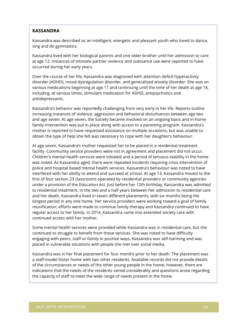#### **KASSANDRA**

Kassandra was described as an intelligent, energetic and pleasant youth who loved to dance, sing and do gymnastics.

Kassandra lived with her biological parents and one older brother until her admission to care at age 12. Instances of intimate partner violence and substance use were reported to have occurred during her early years.

Over the course of her life, Kassandra was diagnosed with attention deficit hyperactivity disorder (ADHD), mood dysregulation disorder, and generalized anxiety disorder. She was on various medications beginning at age 11 and continuing until the time of her death at age 14, including, at various times, stimulant medication for ADHD, antipsychotics and antidepressants.

Kassandra's behavior was reportedly challenging from very early in her life. Reports outline increasing instances of violence, aggression and behavioral disturbances between age two and age seven. At age seven, the Society became involved on an ongoing basis and in-home family intervention was put in place along with access to a parenting program. Kassandra's mother is reported to have requested assistance on multiple occasions, but was unable to obtain the type of help she felt was necessary to cope with her daughter's behaviour.

At age seven, Kassandra's mother requested her to be placed in a residential treatment facility. Community service providers were not in agreement and placement did not occur. Children's mental health services were initiated and a period of tenuous stability in the home was noted. As Kassandra aged, there were repeated incidents requiring crisis intervention of police and hospital based mental health services. Kassandra's behaviour was noted to have interfered with her ability to attend and succeed at school. At age 13, Kassandra moved to the first of four section 23 classrooms operated by residential providers or community agencies under a provision of the Education Act. Just before her 12th birthday, Kassandra was admitted to residential treatment. In the two and a half years between her admission to residential care and her death, Kassandra lived in seven different placements, with six months being the longest period in any one home. Her service providers were working toward a goal of family reunification; efforts were made to continue family therapy and Kassandra continued to have regular access to her family. In 2014, Kassandra came into extended society care with continued access with her mother.

Some mental health services were provided while Kassandra was in residential care, but she continued to struggle to benefit from these services. She was noted to have difficulty engaging with peers, staff or family in positive ways. Kassandra was self-harming and was placed in vulnerable situations with people she met over social media.

Kassandra was in her final placement for four months prior to her death. The placement was a staff-model foster home with two other residents. Available records did not provide details of the circumstances or needs of the other young people in the home; however, there are indications that the needs of the residents varied considerably and questions arose regarding the capacity of staff to meet the wide range of needs present in the home.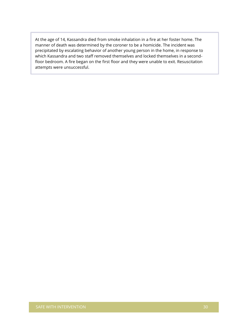At the age of 14, Kassandra died from smoke inhalation in a fire at her foster home. The manner of death was determined by the coroner to be a homicide. The incident was precipitated by escalating behavior of another young person in the home, in response to which Kassandra and two staff removed themselves and locked themselves in a secondfloor bedroom. A fire began on the first floor and they were unable to exit. Resuscitation attempts were unsuccessful.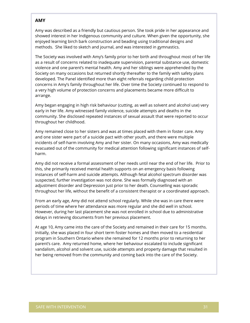#### **AMY**

Amy was described as a friendly but cautious person. She took pride in her appearance and showed interest in her Indigenous community and culture. When given the opportunity, she enjoyed learning birch bark construction and beading using traditional designs and methods. She liked to sketch and journal, and was interested in gymnastics.

The Society was involved with Amy's family prior to her birth and throughout most of her life as a result of concerns related to inadequate supervision, parental substance use, domestic violence and one parent's mental health. Amy and her siblings were apprehended by the Society on many occasions but returned shortly thereafter to the family with safety plans developed. The Panel identified more than eight referrals regarding child protection concerns in Amy's family throughout her life. Over time the Society continued to respond to a very high volume of protection concerns and placements became more difficult to arrange.

Amy began engaging in high risk behaviour (cutting, as well as solvent and alcohol use) very early in her life. Amy witnessed family violence, suicide attempts and deaths in the community. She disclosed repeated instances of sexual assault that were reported to occur throughout her childhood.

Amy remained close to her sisters and was at times placed with them in foster care. Amy and one sister were part of a suicide pact with other youth, and there were multiple incidents of self-harm involving Amy and her sister. On many occasions, Amy was medically evacuated out of the community for medical attention following significant instances of selfharm.

Amy did not receive a formal assessment of her needs until near the end of her life. Prior to this, she primarily received mental health supports on an emergency basis following instances of self-harm and suicide attempts. Although fetal alcohol spectrum disorder was suspected, further investigation was not done. She was formally diagnosed with an adjustment disorder and Depression just prior to her death. Counselling was sporadic throughout her life, without the benefit of a consistent therapist or a coordinated approach.

From an early age, Amy did not attend school regularly. While she was in care there were periods of time where her attendance was more regular and she did well in school. However, during her last placement she was not enrolled in school due to administrative delays in retrieving documents from her previous placement.

At age 10, Amy came into the care of the Society and remained in their care for 15 months. Initially, she was placed in four short term foster homes and then moved to a residential program in Southern Ontario where she remained for 12 months prior to returning to her parent's care. Amy returned home, where her behaviour escalated to include significant vandalism, alcohol and solvent use, suicide attempts and property damage that resulted in her being removed from the community and coming back into the care of the Society.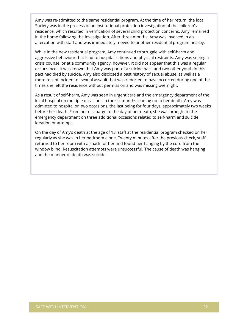Amy was re-admitted to the same residential program. At the time of her return, the local Society was in the process of an institutional protection investigation of the children's residence, which resulted in verification of several child protection concerns. Amy remained in the home following the investigation. After three months, Amy was involved in an altercation with staff and was immediately moved to another residential program nearby.

While in the new residential program, Amy continued to struggle with self-harm and aggressive behaviour that lead to hospitalizations and physical restraints. Amy was seeing a crisis counsellor at a community agency, however, it did not appear that this was a regular occurrence. It was known that Amy was part of a suicide pact, and two other youth in this pact had died by suicide. Amy also disclosed a past history of sexual abuse, as well as a more recent incident of sexual assault that was reported to have occurred during one of the times she left the residence without permission and was missing overnight.

As a result of self-harm, Amy was seen in urgent care and the emergency department of the local hospital on multiple occasions in the six months leading up to her death. Amy was admitted to hospital on two occasions, the last being for four days, approximately two weeks before her death. From her discharge to the day of her death, she was brought to the emergency department on three additional occasions related to self-harm and suicide ideation or attempt.

On the day of Amy's death at the age of 13, staff at the residential program checked on her regularly as she was in her bedroom alone. Twenty minutes after the previous check, staff returned to her room with a snack for her and found her hanging by the cord from the window blind. Resuscitation attempts were unsuccessful. The cause of death was hanging and the manner of death was suicide.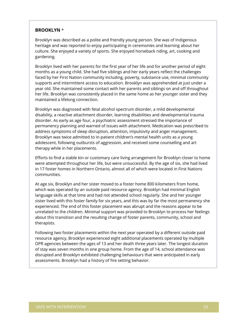#### **BROOKLYN** \*

Brooklyn was described as a polite and friendly young person. She was of Indigenous heritage and was reported to enjoy participating in ceremonies and learning about her culture. She enjoyed a variety of sports. She enjoyed horseback riding, art, cooking and gardening.

Brooklyn lived with her parents for the first year of her life and for another period of eight months as a young child. She had five siblings and her early years reflect the challenges faced by her First Nation community including, poverty, substance use, minimal community supports and intermittent access to education. Brooklyn was apprehended at just under a year old. She maintained some contact with her parents and siblings on and off throughout her life. Brooklyn was consistently placed in the same home as her younger sister and they maintained a lifelong connection.

Brooklyn was diagnosed with fetal alcohol spectrum disorder, a mild developmental disability, a reactive attachment disorder, learning disabilities and developmental trauma disorder. As early as age four, a psychiatric assessment stressed the importance of permanency planning and warned of issues with attachment. Medication was prescribed to address symptoms of sleep disruption, attention, impulsivity and anger management. Brooklyn was twice admitted to in-patient children's mental health units as a young adolescent, following outbursts of aggression, and received some counselling and art therapy while in her placements.

Efforts to find a stable kin or customary care living arrangement for Brooklyn closer to home were attempted throughout her life, but were unsuccessful. By the age of six, she had lived in 17 foster homes in Northern Ontario, almost all of which were located in First Nations communities.

At age six, Brooklyn and her sister moved to a foster home 800 kilometers from home, which was operated by an outside paid resource agency. Brooklyn had minimal English language skills at that time and had not attended school regularly. She and her younger sister lived with this foster family for six years, and this was by far the most permanency she experienced. The end of this foster placement was abrupt and the reasons appear to be unrelated to the children. Minimal support was provided to Brooklyn to process her feelings about this transition and the resulting change of foster parents, community, school and therapists.

Following two foster placements within the next year operated by a different outside paid resource agency, Brooklyn experienced eight additional placements operated by multiple OPR agencies between the ages of 13 and her death three years later. The longest duration of stay was seven months in one group home. From the age of 14, school attendance was disrupted and Brooklyn exhibited challenging behaviours that were anticipated in early assessments. Brooklyn had a history of fire setting behavior.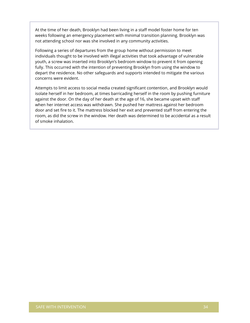At the time of her death, Brooklyn had been living in a staff model foster home for ten weeks following an emergency placement with minimal transition planning. Brooklyn was not attending school nor was she involved in any community activities.

Following a series of departures from the group home without permission to meet individuals thought to be involved with illegal activities that took advantage of vulnerable youth, a screw was inserted into Brooklyn's bedroom window to prevent it from opening fully. This occurred with the intention of preventing Brooklyn from using the window to depart the residence. No other safeguards and supports intended to mitigate the various concerns were evident.

Attempts to limit access to social media created significant contention, and Brooklyn would isolate herself in her bedroom, at times barricading herself in the room by pushing furniture against the door. On the day of her death at the age of 16, she became upset with staff when her internet access was withdrawn. She pushed her mattress against her bedroom door and set fire to it. The mattress blocked her exit and prevented staff from entering the room, as did the screw in the window. Her death was determined to be accidental as a result of smoke inhalation.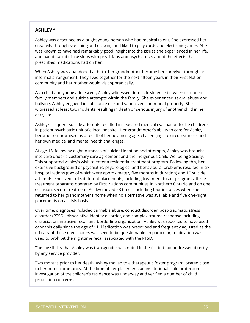### **ASHLEY** \*

Ashley was described as a bright young person who had musical talent. She expressed her creativity through sketching and drawing and liked to play cards and electronic games. She was known to have had remarkably good insight into the issues she experienced in her life, and had detailed discussions with physicians and psychiatrists about the effects that prescribed medications had on her.

When Ashley was abandoned at birth, her grandmother became her caregiver through an informal arrangement. They lived together for the next fifteen years in their First Nation community and her mother would visit sporadically.

As a child and young adolescent, Ashley witnessed domestic violence between extended family members and suicide attempts within the family. She experienced sexual abuse and bullying. Ashley engaged in substance use and vandalized communal property. She witnessed at least two incidents resulting in death or serious injury of another child in her early life.

Ashley's frequent suicide attempts resulted in repeated medical evacuation to the children's in-patient psychiatric unit of a local hospital. Her grandmother's ability to care for Ashley became compromised as a result of her advancing age, challenging life circumstances and her own medical and mental health challenges.

At age 15, following eight instances of suicidal ideation and attempts, Ashley was brought into care under a customary care agreement and the Indigenous Child Wellbeing Society. This supported Ashley's wish to enter a residential treatment program. Following this, her extensive background of psychiatric, psychological and behavioural problems resulted in six hospitalizations (two of which were approximately five months in duration) and 10 suicide attempts. She lived in 18 different placements, including treatment foster programs, three treatment programs operated by First Nations communities in Northern Ontario and on one occasion, secure treatment. Ashley moved 23 times, including four instances when she returned to her grandmother's home when no alternative was available and five one-night placements on a crisis basis.

Over time, diagnoses included cannabis abuse, conduct disorder, post-traumatic stress disorder (PTSD), dissociative identity disorder, and complex trauma response including dissociation, intrusive recall and borderline organization. Ashley was reported to have used cannabis daily since the age of 11. Medication was prescribed and frequently adjusted as the efficacy of these medications was seen to be questionable. In particular, medication was used to prohibit the nighttime recall associated with the PTSD.

The possibility that Ashley was transgender was noted in the file but not addressed directly by any service provider.

Two months prior to her death, Ashley moved to a therapeutic foster program located close to her home community. At the time of her placement, an institutional child protection investigation of the children's residence was underway and verified a number of child protection concerns.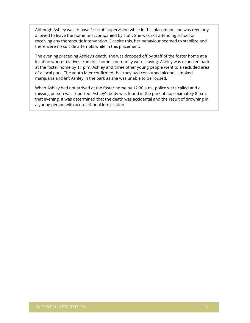Although Ashley was to have 1:1 staff supervision while in this placement, she was regularly allowed to leave the home unaccompanied by staff. She was not attending school or receiving any therapeutic intervention. Despite this, her behaviour seemed to stabilize and there were no suicide attempts while in this placement.

The evening preceding Ashley's death, she was dropped off by staff of the foster home at a location where relatives from her home community were staying. Ashley was expected back at the foster home by 11 p.m. Ashley and three other young people went to a secluded area of a local park. The youth later confirmed that they had consumed alcohol, smoked marijuana and left Ashley in the park as she was unable to be roused.

When Ashley had not arrived at the foster home by 12:30 a.m., police were called and a missing person was reported. Ashley's body was found in the park at approximately 8 p.m. that evening. It was determined that the death was accidental and the result of drowning in a young person with acute ethanol intoxication.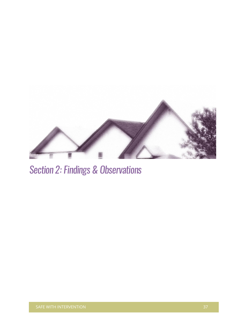

# Section 2: Findings & Observations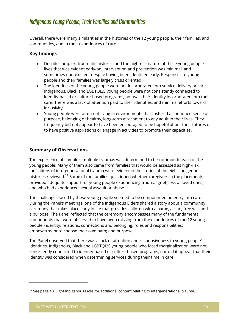# Indigenous Young People, Their Families and Communities

Overall, there were many similarities in the histories of the 12 young people, their families, and communities, and in their experiences of care.

## **Key findings**

- Despite complex, traumatic histories and the high-risk nature of these young people's lives that was evident early-on, intervention and prevention was minimal, and sometimes non-existent despite having been identified early. Responses to young people and their families was largely crisis oriented.
- The identities of the young people were not incorporated into service delivery or care. Indigenous, Black and LGBTQI2S young people were not consistently connected to identity-based or culture-based programs, nor was their identity incorporated into their care. There was a lack of attention paid to their identities, and minimal efforts toward inclusivity.
- Young people were often not living in environments that fostered a continued sense of purpose, belonging or healthy, long-term attachment to any adult in their lives. They frequently did not appear to have been encouraged to be hopeful about their futures or to have positive aspirations or engage in activities to promote their capacities.

## **Summary of Observations**

The experience of complex, multiple traumas was determined to be common to each of the young people. Many of them also came from families that would be assessed as high-risk. Indications of intergenerational trauma were evident in the stories of the eight Indigenous histories reviewed.<sup>11</sup> Some of the families questioned whether caregivers in the placements provided adequate support for young people experiencing trauma, grief, loss of loved ones, and who had experienced sexual assault or abuse.

The challenges faced by these young people seemed to be compounded on entry into care. During the Panel's meetings, one of the Indigenous Elders shared a story about a community ceremony that takes place early in life that provides children with a name, a clan, free will, and a purpose. The Panel reflected that the ceremony encompasses many of the fundamental components that were observed to have been missing from the experiences of the 12 young people - identity; relations, connections and belonging; roles and responsibilities; empowerment to choose their own path; and purpose.

The Panel observed that there was a lack of attention and responsiveness to young people's identities. Indigenous, Black and LGBTQI2S young people who faced marginalization were not consistently connected to identity-based or culture-based programs, nor did it appear that their identity was considered when determining services during their time in care.

<sup>&</sup>lt;sup>11</sup> See page 40, Eight Indigenous Lives for additional content relating to intergenerational trauma.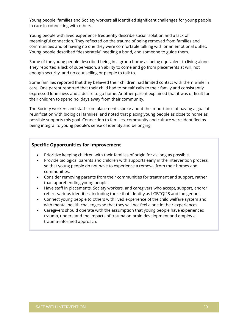Young people, families and Society workers all identified significant challenges for young people in care in connecting with others.

Young people with lived experience frequently describe social isolation and a lack of meaningful connection. They reflected on the trauma of being removed from families and communities and of having no one they were comfortable talking with or an emotional outlet. Young people described "desperately" needing a bond, and someone to guide them.

Some of the young people described being in a group home as being equivalent to living alone. They reported a lack of supervision, an ability to come and go from placements at will, not enough security, and no counselling or people to talk to.

Some families reported that they believed their children had limited contact with them while in care. One parent reported that their child had to 'sneak' calls to their family and consistently expressed loneliness and a desire to go home. Another parent explained that it was difficult for their children to spend holidays away from their community.

The Society workers and staff from placements spoke about the importance of having a goal of reunification with biological families, and noted that placing young people as close to home as possible supports this goal. Connection to families, community and culture were identified as being integral to young people's sense of identity and belonging.

#### **Specific Opportunities for Improvement**

- Prioritize keeping children with their families of origin for as long as possible.
- Provide biological parents and children with supports early in the intervention process, so that young people do not have to experience a removal from their homes and communities.
- Consider removing parents from their communities for treatment and support, rather than apprehending young people.
- Have staff in placements, Society workers, and caregivers who accept, support, and/or reflect various identities, including those that identify as LGBTQI2S and Indigenous.
- Connect young people to others with lived experience of the child welfare system and with mental health challenges so that they will not feel alone in their experiences.
- Caregivers should operate with the assumption that young people have experienced trauma, understand the impacts of trauma on brain development and employ a trauma-informed approach.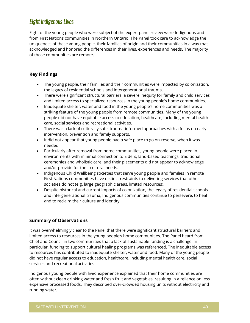# Eight Indigenous Lives

Eight of the young people who were subject of the expert panel review were Indigenous and from First Nations communities in Northern Ontario. The Panel took care to acknowledge the uniqueness of these young people, their families of origin and their communities in a way that acknowledged and honored the differences in their lives, experiences and needs. The majority of those communities are remote.

### **Key Findings**

- The young people, their families and their communities were impacted by colonization, the legacy of residential schools and intergenerational trauma.
- There were significant structural barriers, a severe inequity for family and child services and limited access to specialized resources in the young people's home communities.
- Inadequate shelter, water and food in the young people's home communities was a striking feature of the young people from remote communities. Many of the young people did not have equitable access to education, healthcare, including mental health care, social services and recreational activities.
- There was a lack of culturally safe, trauma-informed approaches with a focus on early intervention, prevention and family supports.
- It did not appear that young people had a safe place to go on-reserve, when it was needed.
- Particularly after removal from home communities, young people were placed in environments with minimal connection to Elders, land-based teachings, traditional ceremonies and wholistic care, and their placements did not appear to acknowledge and/or provide for their cultural needs.
- Indigenous Child Wellbeing societies that serve young people and families in remote First Nations communities have distinct restraints to delivering services that other societies do not (e.g. large geographic areas, limited resources).
- Despite historical and current impacts of colonization, the legacy of residential schools and intergenerational trauma, Indigenous communities continue to persevere, to heal and to reclaim their culture and identity.

## **Summary of Observations**

It was overwhelmingly clear to the Panel that there were significant structural barriers and limited access to resources in the young people's home communities. The Panel heard from Chief and Council in two communities that a lack of sustainable funding is a challenge. In particular, funding to support cultural healing programs was referenced. The inequitable access to resources has contributed to inadequate shelter, water and food. Many of the young people did not have regular access to education, healthcare, including mental health care, social services and recreational activities.

Indigenous young people with lived experience explained that their home communities are often without clean drinking water and fresh fruit and vegetables, resulting in a reliance on less expensive processed foods. They described over-crowded housing units without electricity and running water.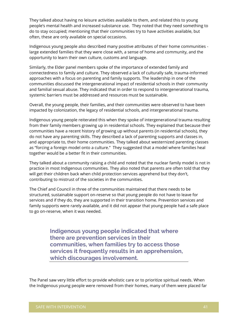They talked about having no leisure activities available to them, and related this to young people's mental health and increased substance use. They noted that they need something to do to stay occupied; mentioning that their communities try to have activities available, but often, these are only available on special occasions.

Indigenous young people also described many positive attributes of their home communities large extended families that they were close with, a sense of home and community, and the opportunity to learn their own culture, customs and language.

Similarly, the Elder panel members spoke of the importance of extended family and connectedness to family and culture. They observed a lack of culturally safe, trauma-informed approaches with a focus on parenting and family supports. The leadership in one of the communities discussed the intergenerational impact of residential schools in their community and familial sexual abuse. They indicated that in order to respond to intergenerational trauma, systemic barriers must be addressed and resources must be sustainable.

Overall, the young people, their families, and their communities were observed to have been impacted by colonization, the legacy of residential schools, and intergenerational trauma.

Indigenous young people reiterated this when they spoke of intergenerational trauma resulting from their family members growing up in residential schools. They explained that because their communities have a recent history of growing up without parents (in residential schools), they do not have any parenting skills. They described a lack of parenting supports and classes in, and appropriate to, their home communities. They talked about westernized parenting classes as "forcing a foreign model onto a culture." They suggested that a model where families heal together would be a better fit in their communities.

They talked about a community raising a child and noted that the nuclear family model is not in practice in most Indigenous communities. They also noted that parents are often told that they will get their children back when child protection services apprehend but they don't, contributing to mistrust of the societies in the communities.

The Chief and Council in three of the communities maintained that there needs to be structured, sustainable support on-reserve so that young people do not have to leave for services and if they do, they are supported in their transition home. Prevention services and family supports were rarely available, and it did not appear that young people had a safe place to go on-reserve, when it was needed.

> **Indigenous young people indicated that where there are prevention services in their communities, when families try to access those services it frequently results in an apprehension, which discourages involvement.**

The Panel saw very little effort to provide wholistic care or to prioritize spiritual needs. When the Indigenous young people were removed from their homes, many of them were placed far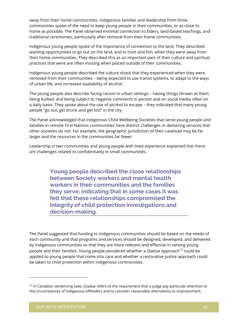away from their home communities. Indigenous families and leadership from three communities spoke of the need to keep young people in their communities, or as close to home as possible. The Panel observed minimal connection to Elders, land-based teachings, and traditional ceremonies, particularly after removal from their home communities.

Indigenous young people spoke of the importance of connection to the land. They described wanting opportunities to go out on the land, and to hunt and fish, when they were away from their home communities. They described this as an important part of their culture and spiritual practices that were are often missing when placed outside of their communities.

Indigenous young people described the culture shock that they experienced when they were removed from their communities – being expected to use transit systems, to adapt to the ways of urban life, and increased availability of alcohol.

The young people also describe facing racism in urban settings – having things thrown at them, being bullied, and being subject to negative comments in person and on social media often on a daily basis. They spoke about the use of alcohol to escape – they indicated that many young people "go out, get drunk and get lost" in the city.

The Panel acknowledged that Indigenous Child Wellbeing Societies that serve young people and families in remote First Nations communities have distinct challenges in delivering services that other societies do not. For example, the geographic jurisdiction of their caseload may be far larger and the resources in the communities far fewer.

Leadership in two communities and young people with lived experience explained that there are challenges related to confidentiality in small communities.

> **Young people described the close relationships between Society workers and mental health workers in their communities and the families they serve; indicating that in some cases it was felt that these relationships compromised the integrity of child protection investigations and decision-making.**

The Panel suggested that funding to Indigenous communities should be based on the needs of each community and that programs and services should be designed, developed, and delivered by Indigenous communities so that they are more relevant and effective in serving young people and their families. Young people wondered whether a Gladue approach<sup>12</sup> could be applied to young people that come into care and whether a restorative justice approach could be taken to child protection within Indigenous communities.

 $12$  In Canadian sentencing laws, Gladue refers to the requirement that a judge pay particular attention to the circumstances of Indigenous offenders and to consider reasonable alternatives to imprisonment.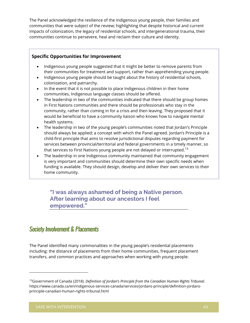The Panel acknowledged the resilience of the Indigenous young people, their families and communities that were subject of the review; highlighting that despite historical and current impacts of colonization, the legacy of residential schools, and intergenerational trauma, their communities continue to persevere, heal and reclaim their culture and identity.

#### **Specific Opportunities for Improvement**

- Indigenous young people suggested that it might be better to remove parents from their communities for treatment and support, rather than apprehending young people.
- Indigenous young people should be taught about the history of residential schools, colonization, and patriarchy.
- In the event that it is not possible to place Indigenous children in their home communities, Indigenous language classes should be offered.
- The leadership in two of the communities indicated that there should be group homes in First Nations communities and there should be professionals who stay in the community, rather than coming in for a crisis and then leaving. They proposed that it would be beneficial to have a community liaison who knows how to navigate mental health systems.
- The leadership in two of the young people's communities noted that Jordan's Principle should always be applied; a concept with which the Panel agreed. Jordan's Principle is a child-first principle that aims to resolve jurisdictional disputes regarding payment for services between provincial/territorial and federal governments in a timely manner, so that services to First Nations young people are not delayed or interrupted.<sup>13</sup>
- The leadership in one Indigenous community maintained that community engagement is very important and communities should determine their own specific needs when funding is available. They should design, develop and deliver their own services to their home community.

**"I was always ashamed of being a Native person. After learning about our ancestors I feel empowered."**

# Society Involvement & Placements

The Panel identified many commonalities in the young people's residential placements including: the distance of placements from their home communities, frequent placement transfers, and common practices and approaches when working with young people.

<sup>13</sup>Government of Canada (2018). *Definition of Jordan's Principle from the Canadian Human Rights Tribunal.* https://www.canada.ca/en/indigenous-services-canada/services/jordans-principle/definition-jordansprinciple-canadian-human-rights-tribunal.html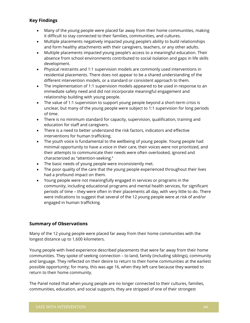## **Key Findings**

- Many of the young people were placed far away from their home communities, making it difficult to stay connected to their families, communities, and cultures.
- Multiple placements negatively impacted young people's ability to build relationships and form healthy attachments with their caregivers, teachers, or any other adults.
- Multiple placements impacted young people's access to a meaningful education. Their absence from school environments contributed to social isolation and gaps in life skills development.
- Physical restraints and 1:1 supervision models are commonly used interventions in residential placements. There does not appear to be a shared understanding of the different intervention models, or a standard or consistent approach to them.
- The implementation of 1:1 supervision models appeared to be used in response to an immediate safety need and did not incorporate meaningful engagement and relationship building with young people.
- The value of 1:1 supervision to support young people beyond a short-term crisis is unclear, but many of the young people were subject to 1:1 supervision for long periods of time.
- There is no minimum standard for capacity, supervision, qualification, training and education for staff and caregivers.
- There is a need to better understand the risk factors, indicators and effective interventions for human trafficking.
- The youth voice is fundamental to the wellbeing of young people. Young people had minimal opportunity to have a voice in their care, their voices were not prioritized, and their attempts to communicate their needs were often overlooked, ignored and characterized as "attention-seeking."
- The basic needs of young people were inconsistently met.
- The poor quality of the care that the young people experienced throughout their lives had a profound impact on them.
- Young people were not meaningfully engaged in services or programs in the community, including educational programs and mental health services, for significant periods of time – they were often in their placements all day, with very little to do. There were indications to suggest that several of the 12 young people were at risk of and/or engaged in human trafficking.

## **Summary of Observations**

Many of the 12 young people were placed far away from their home communities with the longest distance up to 1,600 kilometers.

Young people with lived experience described placements that were far away from their home communities. They spoke of seeking connection – to land, family (including siblings), community and language. They reflected on their desire to return to their home communities at the earliest possible opportunity; for many, this was age 16, when they left care because they wanted to return to their home community.

The Panel noted that when young people are no longer connected to their cultures, families, communities, education, and social supports, they are stripped of one of their strongest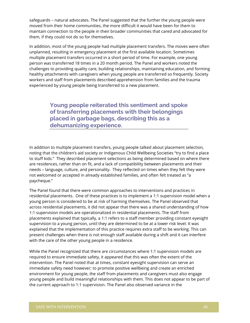safeguards – natural advocates. The Panel suggested that the further the young people were moved from their home communities, the more difficult it would have been for them to maintain connection to the people in their broader communities that cared and advocated for them, if they could not do so for themselves.

In addition, most of the young people had multiple placement transfers. The moves were often unplanned, resulting in emergency placement at the first available location. Sometimes multiple placement transfers occurred in a short period of time. For example, one young person was transferred 18 times in a 20 month period. The Panel and workers noted the challenges to providing quality care, building relationships, maintaining education, and forming healthy attachments with caregivers when young people are transferred so frequently. Society workers and staff from placements described apprehension from families and the trauma experienced by young people being transferred to a new placement.

> **Young people reiterated this sentiment and spoke of transferring placements with their belongings placed in garbage bags, describing this as a dehumanizing experience.**

In addition to multiple placement transfers, young people talked about placement selection, noting that the children's aid society or Indigenous Child Wellbeing Societies "try to find a place to stuff kids." They described placement selections as being determined based on where there are residences, rather than on fit, and a lack of compatibility between placements and their needs – language, culture, and personality. They reflected on times when they felt they were not welcomed or accepted in already established families, and often felt treated as "a paycheque."

The Panel found that there were common approaches to interventions and practices in residential placements. One of these practices is to implement a 1:1 supervision model when a young person is considered to be at risk of harming themselves. The Panel observed that across residential placements, it did not appear that there was a shared understanding of how 1:1 supervision models are operationalized in residential placements. The staff from placements explained that typically, a 1:1 refers to a staff member providing constant eyesight supervision to a young person, until they are determined to be at a lower risk level. It was explained that the implementation of this practice requires extra staff to be working. This can present challenges when there is not enough staff available during a shift and it can interfere with the care of the other young people in a residence.

While the Panel recognized that there are circumstances where 1:1 supervision models are required to ensure immediate safety, it appeared that this was often the extent of the intervention. The Panel noted that at times, constant eyesight supervision can serve an immediate safety need however; to promote positive wellbeing and create an enriched environment for young people, the staff from placements and caregivers must also engage young people and build meaningful relationships with them. This does not appear to be part of the current approach to 1:1 supervision. The Panel also observed variance in the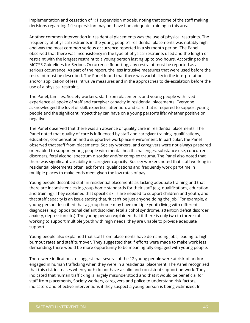implementation and cessation of 1:1 supervision models, noting that some of the staff making decisions regarding 1:1 supervision may not have had adequate training in this area.

Another common intervention in residential placements was the use of physical restraints. The frequency of physical restraints in the young people's residential placements was notably high and was the most common serious occurrence reported in a six month period. The Panel observed that there was inconsistency in the type of physical restraints used and the length of restraint with the longest restraint to a young person lasting up to two hours. According to the MCCSS Guidelines for Serious Occurrence Reporting, any restraint must be reported as a serious occurrence. As part of the report, the less intrusive measures that were used before the restraint must be described. The Panel found that there was variability in the interpretation and/or application of less intrusive measures and in the approaches to de-escalation before the use of a physical restraint.

The Panel, families, Society workers, staff from placements and young people with lived experience all spoke of staff and caregiver capacity in residential placements. Everyone acknowledged the level of skill, expertise, attention, and care that is required to support young people and the significant impact they can have on a young person's life; whether positive or negative.

The Panel observed that there was an absence of quality care in residential placements. The Panel noted that quality of care is influenced by staff and caregiver training, qualifications, education, compensation and a supportive workplace environment. In particular, the Panel observed that staff from placements, Society workers, and caregivers were not always prepared or enabled to support young people with mental health challenges, substance use, concurrent disorders, fetal alcohol spectrum disorder and/or complex trauma. The Panel also noted that there was significant variability in caregiver capacity. Society workers noted that staff working in residential placements often lack formal qualifications and frequently work part-time in multiple places to make ends meet given the low rates of pay.

Young people described staff in residential placements as lacking adequate training and that there are inconsistencies in group home standards for their staff (e.g. qualifications, education and training). They explained that specific skills are needed to support children and youth, and that staff capacity is an issue stating that, 'it can't be just anyone doing the job.' For example, a young person described that a group home may have multiple youth living with different diagnoses (e.g. oppositional defiant disorder, fetal alcohol syndrome, attention deficit disorder, anxiety, depression etc.). The young person explained that if there is only two to three staff working to support multiple youth with high needs, they are unable to provide adequate support.

Young people also explained that staff from placements have demanding jobs, leading to high burnout rates and staff turnover. They suggested that if efforts were made to make work less demanding, there would be more opportunity to be meaningfully engaged with young people.

There were indications to suggest that several of the 12 young people were at risk of and/or engaged in human trafficking when they were in a residential placement. The Panel recognized that this risk increases when youth do not have a solid and consistent support network. They indicated that human trafficking is largely misunderstood and that it would be beneficial for staff from placements, Society workers, caregivers and police to understand risk factors, indicators and effective interventions if they suspect a young person is being victimized. In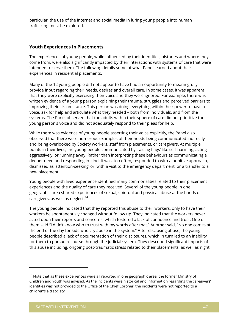particular, the use of the internet and social media in luring young people into human trafficking must be explored.

#### **Youth Experiences in Placements**

The experiences of young people, while influenced by their identities, histories and where they come from, were also significantly impacted by their interactions with systems of care that were intended to serve them. The following details some of what Panel learned about their experiences in residential placements.

Many of the 12 young people did not appear to have had an opportunity to meaningfully provide input regarding their needs, desires and overall care. In some cases, it was apparent that they were explicitly exercising their voice and they were ignored. For example, there was written evidence of a young person explaining their trauma, struggles and perceived barriers to improving their circumstance. This person was doing everything within their power to have a voice, ask for help and articulate what they needed – both from individuals, and from the systems. The Panel observed that the adults within their sphere of care did not prioritize the young person's voice and did not adequately respond to their pleas for help.

While there was evidence of young people asserting their voice explicitly, the Panel also observed that there were numerous examples of their needs being communicated indirectly and being overlooked by Society workers, staff from placements, or caregivers. At multiple points in their lives, the young people communicated by 'raising flags' like self-harming, acting aggressively, or running away. Rather than interpreting these behaviours as communicating a deeper need and responding in-kind, it was, too often, responded to with a punitive approach, dismissed as 'attention-seeking' or, with a visit to the emergency department, or a transfer to a new placement.

Young people with lived experience identified many commonalities related to their placement experiences and the quality of care they received. Several of the young people in one geographic area shared experiences of sexual, spiritual and physical abuse at the hands of caregivers, as well as neglect. $^{14}$ 

The young people indicated that they reported this abuse to their workers, only to have their workers be spontaneously changed without follow up. They indicated that the workers never acted upon their reports and concerns, which fostered a lack of confidence and trust. One of them said "I didn't know who to trust with my words after that." Another said, "No one comes at the end of the day for kids who cry abuse in the system." After disclosing abuse, the young people described a lack of documentation of their disclosures, which in turn led to an inability for them to pursue recourse through the judicial system. They described significant impacts of this abuse including, ongoing post-traumatic stress related to their placements, as well as night

<sup>&</sup>lt;sup>14</sup> Note that as these experiences were all reported in one geographic area, the former Ministry of Children and Youth was advised. As the incidents were historical and information regarding the caregivers' identities was not provided to the Office of the Chief Coroner, the incidents were not reported to a children's aid society.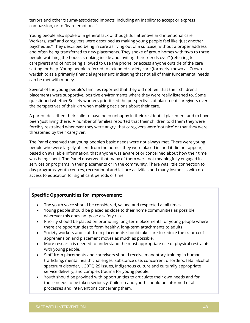terrors and other trauma-associated impacts, including an inability to accept or express compassion, or to "learn emotions."

Young people also spoke of a general lack of thoughtful, attentive and intentional care. Workers, staff and caregivers were described as making young people feel like "just another paycheque." They described being in care as living out of a suitcase, without a proper address and often being transferred to new placements. They spoke of group homes with "two to three people watching the house, smoking inside and inviting their friends over" (referring to caregivers) and of not being allowed to use the phone, or access anyone outside of the care setting for help. Young people referred to extended society care (formerly known as Crown wardship) as a primarily financial agreement; indicating that not all of their fundamental needs can be met with money.

Several of the young people's families reported that they did not feel that their children's placements were supportive, positive environments where they were really listened to. Some questioned whether Society workers prioritized the perspectives of placement caregivers over the perspectives of their kin when making decisions about their care.

A parent described their child to have been unhappy in their residential placement and to have been 'just living there.' A number of families reported that their children told them they were forcibly restrained whenever they were angry, that caregivers were 'not nice' or that they were threatened by their caregiver.

The Panel observed that young people's basic needs were not always met. There were young people who were largely absent from the homes they were placed in, and it did not appear, based on available information, that anyone was aware of or concerned about how their time was being spent. The Panel observed that many of them were not meaningfully engaged in services or programs in their placements or in the community. There was little connection to day programs, youth centres, recreational and leisure activities and many instances with no access to education for significant periods of time.

#### **Specific Opportunities for Improvement:**

- The youth voice should be considered, valued and respected at all times.
- Young people should be placed as close to their home communities as possible, wherever this does not pose a safety risk.
- Priority should be placed on promoting long-term placements for young people where there are opportunities to form healthy, long-term attachments to adults.
- Society workers and staff from placements should take care to reduce the trauma of apprehension and placement moves as much as possible.
- More research is needed to understand the most appropriate use of physical restraints with young people.
- Staff from placements and caregivers should receive mandatory training in human trafficking, mental health challenges, substance use, concurrent disorders, fetal alcohol spectrum disorder, LGBTQI2S issues, Indigenous culture and culturally appropriate service delivery, and complex trauma for young people.
- Youth should be provided with opportunities to articulate their own needs and for those needs to be taken seriously. Children and youth should be informed of all processes and interventions concerning them.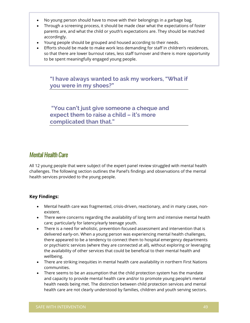- No young person should have to move with their belongings in a garbage bag.
- Through a screening process, it should be made clear what the expectations of foster parents are, and what the child or youth's expectations are. They should be matched accordingly.
- Young people should be grouped and housed according to their needs.
- Efforts should be made to make work less demanding for staff in children's residences, so that there are lower burnout rates, less staff turnover and there is more opportunity to be spent meaningfully engaged young people.

**"I have always wanted to ask my workers, "What if you were in my shoes?"**

**"You can't just give someone a cheque and expect them to raise a child – it's more complicated than that."**

# Mental Health Care

All 12 young people that were subject of the expert panel review struggled with mental health challenges. The following section outlines the Panel's findings and observations of the mental health services provided to the young people.

## **Key Findings:**

- Mental health care was fragmented, crisis-driven, reactionary, and in many cases, nonexistent.
- There were concerns regarding the availability of long term and intensive mental health care; particularly for latency/early teenage youth.
- There is a need for wholistic, prevention-focused assessment and intervention that is delivered early-on. When a young person was experiencing mental health challenges, there appeared to be a tendency to connect them to hospital emergency departments or psychiatric services (where they are connected at all), without exploring or leveraging the availability of other services that could be beneficial to their mental health and wellbeing.
- There are striking inequities in mental health care availability in northern First Nations communities.
- There seems to be an assumption that the child protection system has the mandate and capacity to provide mental health care and/or to promote young people's mental health needs being met. The distinction between child protection services and mental health care are not clearly understood by families, children and youth serving sectors.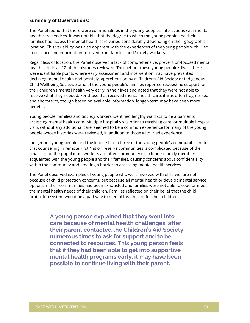#### **Summary of Observations:**

The Panel found that there were commonalities in the young people's interactions with mental health care services. It was notable that the degree to which the young people and their families had access to mental health care varied considerably depending on their geographic location. This variability was also apparent with the experiences of the young people with lived experience and information received from families and Society workers.

Regardless of location, the Panel observed a lack of comprehensive, prevention-focused mental health care in all 12 of the histories reviewed. Throughout these young people's lives, there were identifiable points where early assessment and intervention may have prevented declining mental health and possibly, apprehension by a Children's Aid Society or Indigenous Child Wellbeing Society. Some of the young people's families reported requesting support for their children's mental health very early in their lives and noted that they were not able to receive what they needed. For those that received mental health care, it was often fragmented and short-term, though based on available information, longer-term may have been more beneficial.

Young people, families and Society workers identified lengthy waitlists to be a barrier to accessing mental health care. Multiple hospital visits prior to receiving care, or multiple hospital visits without any additional care, seemed to be a common experience for many of the young people whose histories were reviewed, in addition to those with lived experience.

Indigenous young people and the leadership in three of the young people's communities noted that counselling in remote First Nation reserve communities is complicated because of the small size of the population; workers are often community or extended family members acquainted with the young people and their families, causing concerns about confidentiality within the community and creating a barrier to accessing mental health services.

The Panel observed examples of young people who were involved with child welfare not because of child protection concerns, but because all mental health or developmental service options in their communities had been exhausted and families were not able to cope or meet the mental health needs of their children. Families reflected on their belief that the child protection system would be a pathway to mental health care for their children.

> **A young person explained that they went into care because of mental health challenges, after their parent contacted the Children's Aid Society numerous times to ask for support and to be connected to resources. This young person feels that if they had been able to get into supportive mental health programs early, it may have been possible to continue living with their parent.**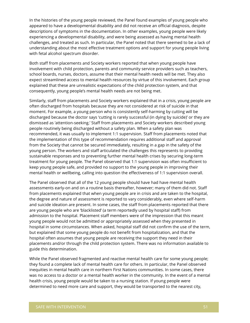In the histories of the young people reviewed, the Panel found examples of young people who appeared to have a developmental disability and did not receive an official diagnosis, despite descriptions of symptoms in the documentation. In other examples, young people were likely experiencing a developmental disability, and were being assessed as having mental health challenges, and treated as such. In particular, the Panel noted that there seemed to be a lack of understanding about the most effective treatment options and support for young people living with fetal alcohol spectrum disorder.

Both staff from placements and Society workers reported that when young people have involvement with child protection, parents and community service providers such as teachers, school boards, nurses, doctors, assume that their mental health needs will be met. They also expect streamlined access to mental health resources by virtue of this involvement. Each group explained that these are unrealistic expectations of the child protection system, and that consequently, young people's mental health needs are not being met.

Similarly, staff from placements and Society workers explained that in a crisis, young people are often discharged from hospitals because they are not considered at risk of suicide in that moment. For example, a young person who is consistently self-harming by cutting will be discharged because the doctor says 'cutting is rarely successful (in dying by suicide)' or they are dismissed as 'attention-seeking.' Staff from placements and Society workers described young people routinely being discharged without a safety plan. When a safety plan was recommended, it was usually to implement 1:1 supervision. Staff from placements noted that the implementation of this type of recommendation requires additional staff and approval from the Society that cannot be secured immediately, resulting in a gap in the safety of the young person. The workers and staff articulated the challenges this represents to providing sustainable responses and to preventing further mental health crises by securing long-term treatment for young people. The Panel observed that 1:1 supervision was often insufficient to keep young people safe, and provided no support to the young people in improving their mental health or wellbeing, calling into question the effectiveness of 1:1 supervision overall.

The Panel observed that all of the 12 young people should have had have mental health assessments early-on and on a routine basis thereafter, however; many of them did not. Staff from placements explained that when young people are in crisis and are taken to the hospital, the degree and nature of assessment is reported to vary considerably, even where self-harm and suicide ideation are present. In some cases, the staff from placements reported that there are young people who are 'blacklisted' (a term reportedly used by hospital staff) from admission to the hospital. Placement staff members were of the impression that this meant young people would not be admitted or appropriately assessed when they presented in hospital in some circumstances. When asked, hospital staff did not confirm the use of the term, but explained that some young people do not benefit from hospitalization, and that the hospital often assumes that young people are receiving the support they need in their placements and/or through the child protection system. There was no information available to guide this determination.

While the Panel observed fragmented and reactive mental health care for some young people; they found a complete lack of mental health care for others. In particular, the Panel observed inequities in mental health care in northern First Nations communities. In some cases, there was no access to a doctor or a mental health worker in the community. In the event of a mental health crisis, young people would be taken to a nursing station. If young people were determined to need more care and support, they would be transported to the nearest city,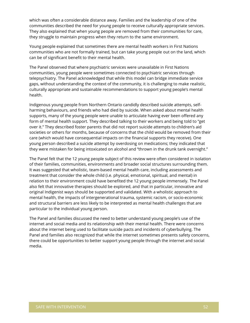which was often a considerable distance away. Families and the leadership of one of the communities described the need for young people to receive culturally appropriate services. They also explained that when young people are removed from their communities for care, they struggle to maintain progress when they return to the same environment.

Young people explained that sometimes there are mental health workers in First Nations communities who are not formally trained, but can take young people out on the land, which can be of significant benefit to their mental health.

The Panel observed that where psychiatric services were unavailable in First Nations communities, young people were sometimes connected to psychiatric services through telepsychiatry. The Panel acknowledged that while this model can bridge immediate service gaps, without understanding the context of the community, it is challenging to make realistic, culturally appropriate and sustainable recommendations to support young people's mental health.

Indigenous young people from Northern Ontario candidly described suicide attempts, selfharming behaviours, and friends who had died by suicide. When asked about mental health supports, many of the young people were unable to articulate having ever been offered any form of mental health support. They described talking to their workers and being told to "get over it." They described foster parents that did not report suicide attempts to children's aid societies or others for months, because of concerns that the child would be removed from their care (which would have consequential impacts on the financial supports they receive). One young person described a suicide attempt by overdosing on medications; they indicated that they were mistaken for being intoxicated on alcohol and "thrown in the drunk tank overnight."

The Panel felt that the 12 young people subject of this review were often considered in isolation of their families, communities, environments and broader social structures surrounding them. It was suggested that wholistic, team-based mental health care, including assessments and treatment that consider the whole child (i.e. physical, emotional, spiritual, and mental) in relation to their environment could have benefited the 12 young people immensely. The Panel also felt that innovative therapies should be explored, and that in particular, innovative and original Indigenist ways should be supported and validated. With a wholistic approach to mental health, the impacts of intergenerational trauma, systemic racism, or socio-economic and structural barriers are less likely to be interpreted as mental health challenges that are particular to the individual young person.

The Panel and families discussed the need to better understand young people's use of the internet and social media and its relationship with their mental health. There were concerns about the internet being used to facilitate suicide pacts and incidents of cyberbullying. The Panel and families also recognized that while the internet sometimes presents safety concerns, there could be opportunities to better support young people through the internet and social media.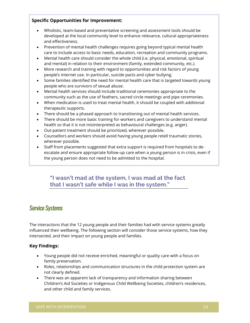## **Specific Opportunities for Improvement:**

- Wholistic, team-based and preventative screening and assessment tools should be developed at the local community level to enhance relevance, cultural appropriateness and effectiveness.
- Prevention of mental health challenges requires going beyond typical mental health care to include access to basic needs, education, recreation and community programs.
- Mental health care should consider the whole child (i.e. physical, emotional, spiritual and mental) in relation to their environment (family, extended community, etc.).
- More research and training with regard to opportunities and risk factors of young people's internet use. In particular, suicide pacts and cyber bullying.
- Some families identified the need for mental health care that is targeted towards young people who are survivors of sexual abuse.
- Mental health services should include traditional ceremonies appropriate to the community such as the use of feathers, sacred circle meetings and pipe ceremonies.
- When medication is used to treat mental health, it should be coupled with additional therapeutic supports.
- There should be a phased approach to transitioning out of mental health services.
- There should be more basic training for workers and caregivers to understand mental health so that it is not misinterpreted as behavioural challenges (e.g. anger).
- Out-patient treatment should be prioritized, wherever possible.
- Counsellors and workers should avoid having young people retell traumatic stories, wherever possible.
- Staff from placements suggested that extra support is required from hospitals to deescalate and ensure appropriate follow-up care when a young person is in crisis, even if the young person does not need to be admitted to the hospital.

# **"I wasn't mad at the system, I was mad at the fact that I wasn't safe while I was in the system."**

# Service Systems

The interactions that the 12 young people and their families had with service systems greatly influenced their wellbeing. The following section will consider those service systems, how they intersected, and their impact on young people and families.

## **Key Findings:**

- Young people did not receive enriched, meaningful or quality care with a focus on family preservation.
- Roles, relationships and communication structures in the child protection system are not clearly defined.
- There was an apparent lack of transparency and information sharing between Children's Aid Societies or Indigenous Child Wellbeing Societies, children's residences, and other child and family services.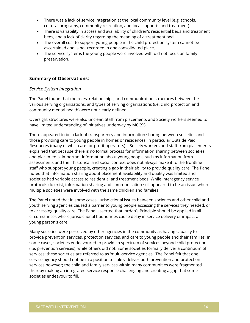- There was a lack of service integration at the local community level (e.g. schools, cultural programs, community recreation, and local supports and treatment).
- There is variability in access and availability of children's residential beds and treatment beds, and a lack of clarity regarding the meaning of a 'treatment bed'
- The overall cost to support young people in the child protection system cannot be ascertained and is not recorded in one consolidated place.
- The service systems the young people were involved with did not focus on family preservation.

#### **Summary of Observations:**

#### *Service System Integration*

The Panel found that the roles, relationships, and communication structures between the various serving organizations, and types of serving organizations (i.e. child protection and community mental health) were not clearly defined.

Oversight structures were also unclear. Staff from placements and Society workers seemed to have limited understanding of initiatives underway by MCCSS.

There appeared to be a lack of transparency and information sharing between societies and those providing care to young people in homes or residences, in particular Outside Paid Resources (many of which are for profit operators) . Society workers and staff from placements explained that because there is no formal process for information sharing between societies and placements, important information about young people such as information from assessments and their historical and social context does not always make it to the frontline staff who support young people, creating a gap in their ability to provide quality care. The Panel noted that information sharing about placement availability and quality was limited and societies had variable access to residential and treatment beds. While interagency service protocols do exist, information sharing and communication still appeared to be an issue where multiple societies were involved with the same children and families.

The Panel noted that in some cases, jurisdictional issues between societies and other child and youth serving agencies caused a barrier to young people accessing the services they needed, or to accessing quality care. The Panel asserted that Jordan's Principle should be applied in all circumstances where jurisdictional boundaries cause delay in service delivery or impact a young person's care.

Many societies were perceived by other agencies in the community as having capacity to provide prevention services, protection services, and care to young people and their families. In some cases, societies endeavoured to provide a spectrum of services beyond child protection (i.e. prevention services), while others did not. Some societies formally deliver a continuum of services; these societies are referred to as 'multi-service agencies'. The Panel felt that one service agency should not be in a position to solely deliver both prevention and protection services however; the child and family services within many communities were fragmented thereby making an integrated service response challenging and creating a gap that some societies endeavour to fill.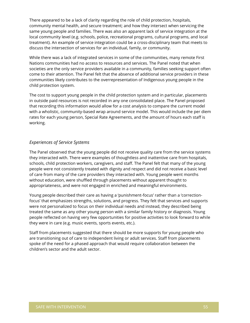There appeared to be a lack of clarity regarding the role of child protection, hospitals, community mental health, and secure treatment; and how they intersect when servicing the same young people and families. There was also an apparent lack of service integration at the local community level (e.g. schools, police, recreational programs, cultural programs, and local treatment). An example of service integration could be a cross-disciplinary team that meets to discuss the intersection of services for an individual, family, or community.

While there was a lack of integrated services in some of the communities, many remote First Nations communities had no access to resources and services. The Panel noted that when societies are the only service providers available in a community, families seeking support often come to their attention. The Panel felt that the absence of additional service providers in these communities likely contributes to the overrepresentation of Indigenous young people in the child protection system.

The cost to support young people in the child protection system and in particular, placements in outside paid resources is not recorded in any one consolidated place. The Panel proposed that recording this information would allow for a cost analysis to compare the current model with a wholistic, community-based wrap around service model. This would include the per diem rates for each young person, Special Rate Agreements, and the amount of hours each staff is working.

#### *Experiences of Service Systems*

The Panel observed that the young people did not receive quality care from the service systems they interacted with. There were examples of thoughtless and inattentive care from hospitals, schools, child protection workers, caregivers, and staff. The Panel felt that many of the young people were not consistently treated with dignity and respect and did not receive a basic level of care from many of the care providers they interacted with. Young people went months without education, were shuffled through placements without apparent thought to appropriateness, and were not engaged in enriched and meaningful environments.

Young people described their care as having a 'punishment-focus' rather than a 'correctionfocus' that emphasizes strengths, solutions, and progress. They felt that services and supports were not personalized to focus on their individual needs and instead, they described being treated the same as any other young person with a similar family history or diagnosis. Young people reflected on having very few opportunities for positive activities to look forward to while they were in care (e.g. music events, sports events, etc.).

Staff from placements suggested that there should be more supports for young people who are transitioning out of care to independent living or adult services. Staff from placements spoke of the need for a phased approach that would require collaboration between the children's sector and the adult sector.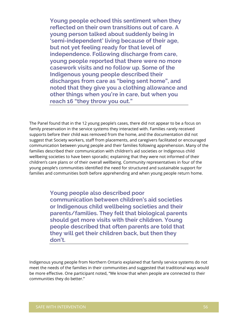**Young people echoed this sentiment when they reflected on their own transitions out of care. A young person talked about suddenly being in 'semi-independent' living because of their age, but not yet feeling ready for that level of independence. Following discharge from care, young people reported that there were no more casework visits and no follow up. Some of the Indigenous young people described their discharges from care as "being sent home", and noted that they give you a clothing allowance and other things when you're in care, but when you reach 16 "they throw you out."** 

The Panel found that in the 12 young people's cases, there did not appear to be a focus on family preservation in the service systems they interacted with. Families rarely received supports before their child was removed from the home, and the documentation did not suggest that Society workers, staff from placements, and caregivers facilitated or encouraged communication between young people and their families following apprehension. Many of the families described their communication with children's aid societies or Indigenous child wellbeing societies to have been sporadic; explaining that they were not informed of their children's care plans or of their overall wellbeing. Community representatives in four of the young people's communities identified the need for structured and sustainable support for families and communities both before apprehending and when young people return home.

> **Young people also described poor communication between children's aid societies or Indigenous child wellbeing societies and their parents/families. They felt that biological parents should get more visits with their children. Young people described that often parents are told that they will get their children back, but then they don't.**

Indigenous young people from Northern Ontario explained that family service systems do not meet the needs of the families in their communities and suggested that traditional ways would be more effective. One participant noted, "We know that when people are connected to their communities they do better."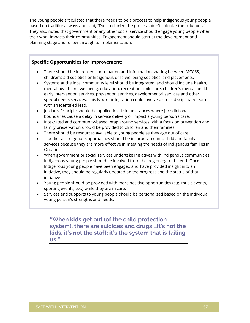The young people articulated that there needs to be a process to help Indigenous young people based on traditional ways and said, "Don't colonize the process, don't colonize the solutions." They also noted that government or any other social service should engage young people when their work impacts their communities. Engagement should start at the development and planning stage and follow through to implementation.

#### **Specific Opportunities for Improvement:**

- There should be increased coordination and information sharing between MCCSS, children's aid societies or Indigenous child wellbeing societies, and placements.
- Systems at the local community level should be integrated, and should include health, mental health and wellbeing, education, recreation, child care, children's mental health, early intervention services, prevention services, developmental services and other special needs services. This type of integration could involve a cross-disciplinary team with an identified lead.
- Jordan's Principle should be applied in all circumstances where jurisdictional boundaries cause a delay in service delivery or impact a young person's care.
- Integrated and community-based wrap around services with a focus on prevention and family preservation should be provided to children and their families.
- There should be resources available to young people as they age out of care.
- Traditional Indigenous approaches should be incorporated into child and family services because they are more effective in meeting the needs of Indigenous families in Ontario.
- When government or social services undertake initiatives with Indigenous communities, Indigenous young people should be involved from the beginning to the end. Once Indigenous young people have been engaged and have provided insight into an initiative, they should be regularly updated on the progress and the status of that initiative.
- Young people should be provided with more positive opportunities (e.g. music events, sporting events, etc.) while they are in care.
- Services and supports to young people should be personalized based on the individual young person's strengths and needs.

**"When kids get out (of the child protection system), there are suicides and drugs …It's not the kids, it's not the staff; it's the system that is failing us."**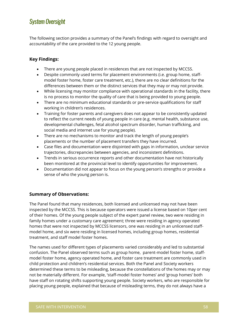# System Oversight

The following section provides a summary of the Panel's findings with regard to oversight and accountability of the care provided to the 12 young people.

## **Key Findings:**

- There are young people placed in residences that are not inspected by MCCSS.
- Despite commonly used terms for placement environments (i.e. group home, staffmodel foster home, foster care treatment, etc.), there are no clear definitions for the differences between them or the distinct services that they may or may not provide.
- While licensing may monitor compliance with operational standards in the facility, there is no process to monitor the quality of care that is being provided to young people.
- There are no minimum educational standards or pre-service qualifications for staff working in children's residences.
- Training for foster parents and caregivers does not appear to be consistently updated to reflect the current needs of young people in care (e.g. mental health, substance use, developmental challenges, fetal alcohol spectrum disorder, human trafficking, and social media and internet use for young people).
- There are no mechanisms to monitor and track the length of young people's placements or the number of placement transfers they have incurred.
- Case files and documentation were disjointed with gaps in information, unclear service trajectories, discrepancies between agencies, and inconsistent definitions.
- Trends in serious occurrence reports and other documentation have not historically been monitored at the provincial level to identify opportunities for improvement.
- Documentation did not appear to focus on the young person's strengths or provide a sense of who the young person is.

## **Summary of Observations:**

The Panel found that many residences, both licensed and unlicensed may not have been inspected by the MCCSS. This is because operators were issued a license based on 10per cent of their homes. Of the young people subject of the expert panel review, two were residing in family homes under a customary care agreement; three were residing in agency operated homes that were not inspected by MCCSS licensors, one was residing in an unlicensed staffmodel home, and six were residing in licensed homes, including group homes, residential treatment, and staff model foster homes.

The names used for different types of placements varied considerably and led to substantial confusion. The Panel observed terms such as group home, parent-model foster home, staffmodel foster home, agency operated home, and foster care treatment are commonly used in child protection and children's residential services. Both the Panel and Society workers determined these terms to be misleading, because the constellations of the homes may or may not be materially different. For example, 'staff-model foster homes' and 'group homes' both have staff on rotating shifts supporting young people. Society workers, who are responsible for placing young people, explained that because of misleading terms, they do not always have a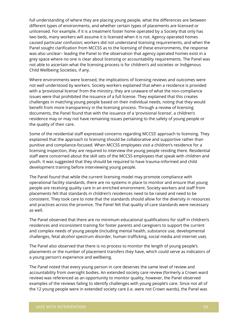full understanding of where they are placing young people, what the differences are between different types of environments, and whether certain types of placements are licensed or unlicensed. For example, if it is a treatment foster home operated by a Society that only has two beds, many workers will assume it is licensed when it is not. Agency operated homes caused particular confusion; workers did not understand licensing requirements, and when the Panel sought clarification from MCCSS as to the licensing of these environments, the response was also unclear– leading the Panel to the observation that agency operated homes exist in a grey space where no one is clear about licensing or accountability requirements. The Panel was not able to ascertain what the licensing process is for children's aid societies or Indigenous Child Wellbeing Societies, if any.

Where environments were licensed, the implications of licensing reviews and outcomes were not well understood by workers. Society workers explained that when a residence is provided with a 'provisional license' from the ministry, they are unaware of what the non-compliance issues were that prohibited the issuance of a full license. They explained that this creates challenges in matching young people based on their individual needs, noting that they would benefit from more transparency in the licensing process. Through a review of licensing documents, the Panel found that with the issuance of a 'provisional license', a children's residence may or may not have remaining issues pertaining to the safety of young people or the quality of their care.

Some of the residential staff expressed concerns regarding MCCSS' approach to licensing. They explained that the approach to licensing should be collaborative and supportive rather than punitive and compliance-focused. When MCCSS employees visit a children's residence for a licensing inspection, they are required to interview the young people residing there. Residential staff were concerned about the skill sets of the MCCSS employees that speak with children and youth. It was suggested that they should be required to have trauma-informed and child development training before interviewing young people.

The Panel found that while the current licensing model may promote compliance with operational facility standards, there are no systems in place to monitor and ensure that young people are receiving quality care in an enriched environment. Society workers and staff from placements felt that standards in children's residences need to be raised and need to be consistent. They took care to note that the standards should allow for the diversity in resources and practices across the province. The Panel felt that quality of-care standards were necessary as well.

The Panel observed that there are no minimum educational qualifications for staff in children's residences and inconsistent training for foster parents and caregivers to support the current and complex needs of young people (including mental health, substance use, developmental challenges, fetal alcohol spectrum disorder, human trafficking, social media and internet use).

The Panel also observed that there is no process to monitor the length of young people's placements or the number of placement transfers they have, which could serve as indicators of a young person's experience and wellbeing.

The Panel noted that every young person in care deserves the same level of review and accountability from oversight bodies. An extended society care review (formerly a Crown ward review) was referenced as an opportunity to monitor quality, however, the Panel observed examples of the reviews failing to identify challenges with young people's care. Since not all of the 12 young people were in extended society care (i.e. were not Crown wards), the Panel was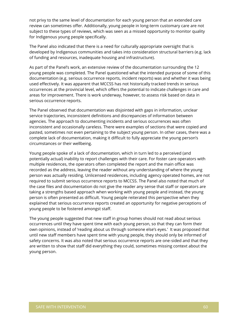not privy to the same level of documentation for each young person that an extended care review can sometimes offer. Additionally, young people in long-term customary care are not subject to these types of reviews, which was seen as a missed opportunity to monitor quality for Indigenous young people specifically.

The Panel also indicated that there is a need for culturally appropriate oversight that is developed by Indigenous communities and takes into consideration structural barriers (e.g. lack of funding and resources, inadequate housing and infrastructure).

As part of the Panel's work, an extensive review of the documentation surrounding the 12 young people was completed. The Panel questioned what the intended purpose of some of this documentation (e.g. serious occurrence reports, incident reports) was and whether it was being used effectively. It was apparent that MCCSS has not historically tracked trends in serious occurrences at the provincial level, which offers the potential to indicate challenges in care and areas for improvement. There is work underway, however, to assess risk based on data in serious occurrence reports.

The Panel observed that documentation was disjointed with gaps in information, unclear service trajectories, inconsistent definitions and discrepancies of information between agencies. The approach to documenting incidents and serious occurrences was often inconsistent and occasionally careless. There were examples of sections that were copied and pasted, sometimes not even pertaining to the subject young person. In other cases, there was a complete lack of documentation, making it difficult to fully appreciate the young person's circumstances or their wellbeing.

Young people spoke of a lack of documentation, which in turn led to a perceived (and potentially actual) inability to report challenges with their care. For foster care operators with multiple residences, the operators often completed the report and the main office was recorded as the address, leaving the reader without any understanding of where the young person was actually residing. Unlicensed residences, including agency operated homes, are not required to submit serious occurrence reports to MCCSS. The Panel also noted that much of the case files and documentation do not give the reader any sense that staff or operators are taking a strengths based approach when working with young people and instead, the young person is often presented as difficult. Young people reiterated this perspective when they explained that serious occurrence reports created an opportunity for negative perceptions of young people to be fostered amongst staff.

The young people suggested that new staff in group homes should not read about serious occurrences until they have spent time with each young person, so that they can form their own opinions, instead of 'reading about us through someone else's eyes.' It was proposed that until new staff members have spent time with young people, they should only be informed of safety concerns. It was also noted that serious occurrence reports are one-sided and that they are written to show that staff did everything they could, sometimes missing context about the young person.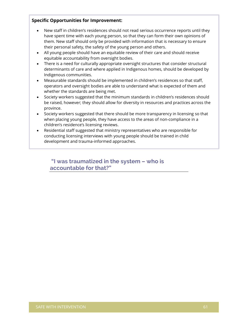### **Specific Opportunities for Improvement:**

- New staff in children's residences should not read serious occurrence reports until they have spent time with each young person, so that they can form their own opinions of them. New staff should only be provided with information that is necessary to ensure their personal safety, the safety of the young person and others.
- All young people should have an equitable review of their care and should receive equitable accountability from oversight bodies.
- There is a need for culturally appropriate oversight structures that consider structural determinants of care and where applied in Indigenous homes, should be developed by Indigenous communities.
- Measurable standards should be implemented in children's residences so that staff, operators and oversight bodies are able to understand what is expected of them and whether the standards are being met.
- Society workers suggested that the minimum standards in children's residences should be raised, however; they should allow for diversity in resources and practices across the province.
- Society workers suggested that there should be more transparency in licensing so that when placing young people, they have access to the areas of non-compliance in a children's residence's licensing reviews.
- Residential staff suggested that ministry representatives who are responsible for conducting licensing interviews with young people should be trained in child development and trauma-informed approaches.

**"I was traumatized in the system – who is accountable for that?"**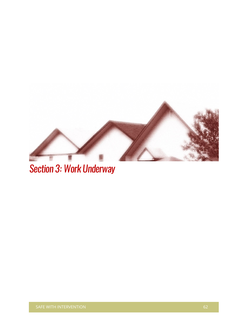

Section 3: Work Underway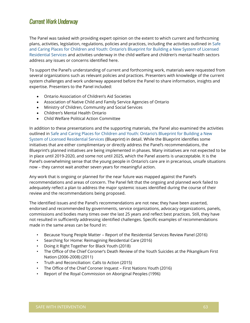# Current Work Underway

The Panel was tasked with providing expert opinion on the extent to which current and forthcoming plans, activities, legislation, regulations, policies and practices, including the activities outlined in [Safe](http://www.children.gov.on.ca/htdocs/English/professionals/childwelfare/residential/blueprint/index.aspx)  [and Caring Places for Children and Youth: Ontario's Blueprint for Building a New System of Licensed](http://www.children.gov.on.ca/htdocs/English/professionals/childwelfare/residential/blueprint/index.aspx)  [Residential Services](http://www.children.gov.on.ca/htdocs/English/professionals/childwelfare/residential/blueprint/index.aspx) and activities underway in the child welfare and children's mental health sectors address any issues or concerns identified here.

To support the Panel's understanding of current and forthcoming work, materials were requested from several organizations such as relevant policies and practices. Presenters with knowledge of the current system challenges and work underway appeared before the Panel to share information, insights and expertise. Presenters to the Panel included:

- Ontario Association of Children's Aid Societies
- Association of Native Child and Family Service Agencies of Ontario
- Ministry of Children, Community and Social Services
- Children's Mental Health Ontario
- Child Welfare Political Action Committee

In addition to these presentations and the supporting materials, the Panel also examined the activities outlined in [Safe and Caring Places for Children and Youth: Ontari](http://www.children.gov.on.ca/htdocs/English/professionals/childwelfare/residential/blueprint/index.aspx)o's Blueprint for Building a New [System of Licensed Residential Services](http://www.children.gov.on.ca/htdocs/English/professionals/childwelfare/residential/blueprint/index.aspx) (Blueprint) in detail. While the Blueprint identifies some initiatives that are either complimentary or directly address the Panel's recommendations, the Blueprint's planned initiatives are being implemented in phases. Many initiatives are not expected to be in place until 2019-2020, and some not until 2025, which the Panel asserts is unacceptable. It is the Panel's overwhelming sense that the young people in Ontario's care are in precarious, unsafe situations now – they cannot wait another seven years for meaningful action.

Any work that is ongoing or planned for the near future was mapped against the Panel's recommendations and areas of concern. The Panel felt that the ongoing and planned work failed to adequately reflect a plan to address the major systemic issues identified during the course of their review and the recommendations being proposed.

The identified issues and the Panel's recommendations are not new; they have been asserted, endorsed and recommended by governments, service organizations, advocacy organizations, panels, commissions and bodies many times over the last 25 years and reflect best practices. Still, they have not resulted in sufficiently addressing identified challenges. Specific examples of recommendations made in the same areas can be found in:

- Because Young People Matter Report of the Residential Services Review Panel (2016)
- Searching for Home: Reimagining Residential Care (2016)
- Doing it Right Together for Black Youth (2018)
- The Office of the Chief Coroner's Death Review of the Youth Suicides at the Pikangikum First Nation (2006-2008) (2011)
- Truth and Reconciliation: Calls to Action (2015)
- The Office of the Chief Coroner Inquest First Nations Youth (2016)
- Report of the Royal Commission on Aboriginal Peoples (1996)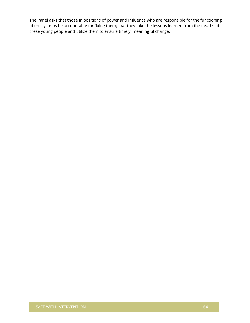The Panel asks that those in positions of power and influence who are responsible for the functioning of the systems be accountable for fixing them; that they take the lessons learned from the deaths of these young people and utilize them to ensure timely, meaningful change.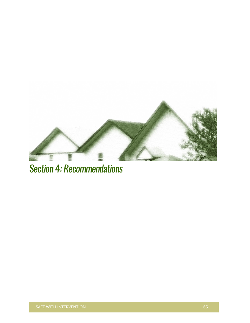

# Section 4: Recommendations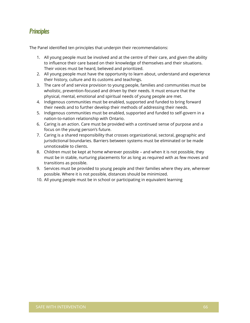# **Principles**

The Panel identified ten principles that underpin their recommendations:

- 1. All young people must be involved and at the centre of their care, and given the ability to influence their care based on their knowledge of themselves and their situations. Their voices must be heard, believed and prioritized.
- 2. All young people must have the opportunity to learn about, understand and experience their history, culture and its customs and teachings.
- 3. The care of and service provision to young people, families and communities must be wholistic, prevention-focused and driven by their needs. It must ensure that the physical, mental, emotional and spiritual needs of young people are met.
- 4. Indigenous communities must be enabled, supported and funded to bring forward their needs and to further develop their methods of addressing their needs.
- 5. Indigenous communities must be enabled, supported and funded to self-govern in a nation-to-nation relationship with Ontario.
- 6. Caring is an action. Care must be provided with a continued sense of purpose and a focus on the young person's future.
- 7. Caring is a shared responsibility that crosses organizational, sectoral, geographic and jurisdictional boundaries. Barriers between systems must be eliminated or be made unnoticeable to clients.
- 8. Children must be kept at home wherever possible and when it is not possible, they must be in stable, nurturing placements for as long as required with as few moves and transitions as possible.
- 9. Services must be provided to young people and their families where they are, wherever possible. Where it is not possible, distances should be minimized.
- 10. All young people must be in school or participating in equivalent learning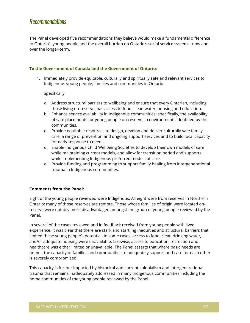# **Recommendations**

The Panel developed five recommendations they believe would make a fundamental difference to Ontario's young people and the overall burden on Ontario's social service system – now and over the longer-term.

#### **To the Government of Canada and the Government of Ontario:**

1. Immediately provide equitable, culturally and spiritually safe and relevant services to Indigenous young people, families and communities in Ontario.

Specifically:

- a. Address structural barriers to wellbeing and ensure that every Ontarian, including those living on-reserve, has access to food, clean water, housing and education.
- b. Enhance service availability in Indigenous communities; specifically, the availability of safe placements for young people on-reserve, in environments identified by the communities.
- c. Provide equitable resources to design, develop and deliver culturally safe family care, a range of prevention and ongoing support services and to build local capacity for early response to needs.
- d. Enable Indigenous Child Wellbeing Societies to develop their own models of care while maintaining current models, and allow for transition period and supports while implementing Indigenous preferred models of care.
- e. Provide funding and programming to support family healing from intergenerational trauma in Indigenous communities.

#### **Comments from the Panel:**

Eight of the young people reviewed were Indigenous. All eight were from reserves in Northern Ontario; many of those reserves are remote. Those whose families of origin were located onreserve were notably more disadvantaged amongst the group of young people reviewed by the Panel.

In several of the cases reviewed and in feedback received from young people with lived experience, it was clear that there are stark and startling inequities and structural barriers that limited these young people's potential. In some cases, access to food, clean drinking water, and/or adequate housing were unavailable. Likewise, access to education, recreation and healthcare was either limited or unavailable. The Panel asserts that where basic needs are unmet, the capacity of families and communities to adequately support and care for each other is severely compromised.

This capacity is further impacted by historical and current colonialism and intergenerational trauma that remains inadequately addressed in many Indigenous communities including the home communities of the young people reviewed by the Panel.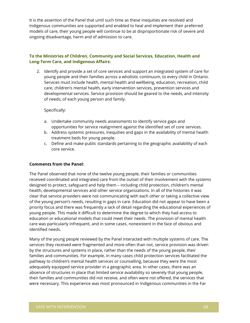It is the assertion of the Panel that until such time as these inequities are resolved and Indigenous communities are supported and enabled to heal and implement their preferred models of care, their young people will continue to be at disproportionate risk of severe and ongoing disadvantage, harm and of admission to care.

#### **To the Ministries of Children, Community and Social Services, Education, Health and Long-Term Care, and Indigenous Affairs:**

2. Identify and provide a set of core services and support an integrated system of care for young people and their families across a wholistic continuum, to every child in Ontario. Services must include health, mental health and wellbeing, education, recreation, child care, children's mental health, early intervention services, prevention services and developmental services. Service provision should be geared to the needs, and intensity of needs, of each young person and family.

#### Specifically:

- a. Undertake community needs assessments to identify service gaps and opportunities for service realignment against the identified set of core services.
- b. Address systemic pressures, inequities and gaps in the availability of mental health treatment beds for young people.
- c. Define and make public standards pertaining to the geographic availability of each core service.

#### **Comments from the Panel:**

The Panel observed that none of the twelve young people, their families or communities received coordinated and integrated care from the outset of their involvement with the systems designed to protect, safeguard and help them – including child protection, children's mental health, developmental services and other service organizations. In all of the histories it was clear that service providers were not communicating with each other or taking a collective view of the young person's needs, resulting in gaps in care. Education did not appear to have been a priority focus and there was frequently a lack of detail regarding the educational experiences of young people. This made it difficult to determine the degree to which they had access to education or educational models that could meet their needs. The provision of mental health care was particularly infrequent, and in some cases, nonexistent in the face of obvious and identified needs.

Many of the young people reviewed by the Panel interacted with multiple systems of care. The services they received were fragmented and more often than not, service provision was driven by the structures and systems in place, rather than the needs of the young people, their families and communities. For example, in many cases child protection services facilitated the pathway to children's mental health services or counselling, because they were the most adequately equipped service provider in a geographic area. In other cases, there was an absence of structures in place that limited service availability so severely that young people, their families and communities did not receive, and often were not offered, the services that were necessary. This experience was most pronounced in Indigenous communities in the Far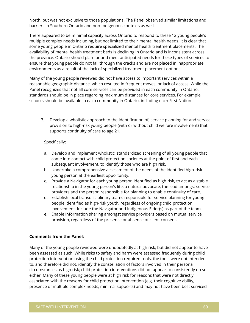North, but was not exclusive to those populations. The Panel observed similar limitations and barriers in Southern Ontario and non-Indigenous contexts as well.

There appeared to be minimal capacity across Ontario to respond to these 12 young people's multiple complex needs including, but not limited to their mental health needs. It is clear that some young people in Ontario require specialized mental health treatment placements. The availability of mental health treatment beds is declining in Ontario and is inconsistent across the province. Ontario should plan for and meet anticipated needs for these types of services to ensure that young people do not fall through the cracks and are not placed in inappropriate environments as a result of the lack of specialized treatment placement options.

Many of the young people reviewed did not have access to important services within a reasonable geographic distance, which resulted in frequent moves, or lack of access. While the Panel recognizes that not all core services can be provided in each community in Ontario, standards should be in place regarding maximum distances for core services. For example, schools should be available in each community in Ontario, including each First Nation.

3. Develop a wholistic approach to the identification of, service planning for and service provision to high-risk young people (with or without child welfare involvement) that supports continuity of care to age 21.

#### Specifically:

- a. Develop and implement wholistic, standardized screening of all young people that come into contact with child protection societies at the point of first and each subsequent involvement, to identify those who are high risk.
- b. Undertake a comprehensive assessment of the needs of the identified high-risk young person at the earliest opportunity.
- c. Provide a Navigator for each young person identified as high risk, to act as a stable relationship in the young person's life, a natural advocate, the lead amongst service providers and the person responsible for planning to enable continuity of care.
- d. Establish local transdisciplinary teams responsible for service planning for young people identified as high-risk youth, regardless of ongoing child protection involvement. Include the Navigator and Indigenous Elder(s) as part of the team.
- e. Enable information sharing amongst service providers based on mutual service provision, regardless of the presence or absence of client consent.

#### **Comments from the Panel:**

Many of the young people reviewed were undoubtedly at high risk, but did not appear to have been assessed as such. While risks to safety and harm were assessed frequently during child protection intervention using the child protection required tools, the tools were not intended to, and therefore did not, identify the constellation of factors involved in their personal circumstances as high risk; child protection interventions did not appear to consistently do so either. Many of these young people were at high risk for reasons that were not directly associated with the reasons for child protection intervention (e.g. their cognitive ability, presence of multiple complex needs, minimal supports) and may not have been best serviced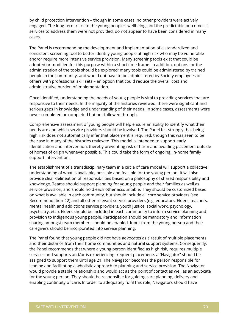by child protection intervention – though in some cases, no other providers were actively engaged. The long-term risks to the young people's wellbeing, and the predictable outcomes if services to address them were not provided, do not appear to have been considered in many cases.

The Panel is recommending the development and implementation of a standardized and consistent screening tool to better identify young people at high risk who may be vulnerable and/or require more intensive service provision. Many screening tools exist that could be adopted or modified for this purpose within a short time frame. In addition, options for the administration of the tools should be explored; many tools could be administered by trained people in the community, and would not have to be administered by Society employees or others with professional skill sets – an option that could reduce the overall cost and administrative burden of implementation.

Once identified, understanding the needs of young people is vital to providing services that are responsive to their needs. In the majority of the histories reviewed, there were significant and serious gaps in knowledge and understanding of their needs. In some cases, assessments were never completed or completed but not followed through.

Comprehensive assessment of young people will help ensure an ability to identify what their needs are and which service providers should be involved. The Panel felt strongly that being high risk does not automatically infer that placement is required, though this was seen to be the case in many of the histories reviewed. This model is intended to support early identification and intervention, thereby preventing risk of harm and avoiding placement outside of homes of origin whenever possible. This could take the form of ongoing, in-home family support intervention.

The establishment of a transdisciplinary team in a circle of care model will support a collective understanding of what is available, possible and feasible for the young person. It will also provide clear delineation of responsibilities based on a philosophy of shared responsibility and knowledge. Teams should support planning for young people and their families as well as service provision, and should hold each other accountable. They should be customized based on what is available in each community, but should include all core service providers (see Recommendation #2) and all other relevant service providers (e.g. educators, Elders, teachers, mental health and addictions service providers, youth justice, social work, psychology, psychiatry, etc.). Elders should be included in each community to inform service planning and provision to Indigenous young people. Participation should be mandatory and information sharing amongst team members should be enabled. Input from the young person and their caregivers should be incorporated into service planning.

The Panel found that young people did not have advocates as a result of multiple placements and their distance from their home communities and natural support systems. Consequently, the Panel recommends that where a young person identified as high risk, requires multiple services and supports and/or is experiencing frequent placements a "Navigator" should be assigned to support them until age 21. The Navigator becomes the person responsible for leading and facilitating a wholistic approach to planning and service provision. The Navigator would provide a stable relationship and would act as the point of contact as well as an advocate for the young person. They should be responsible for guiding care planning, delivery and enabling continuity of care. In order to adequately fulfil this role, Navigators should have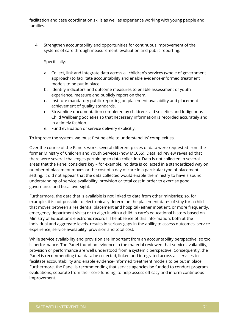facilitation and case coordination skills as well as experience working with young people and families.

4. Strengthen accountability and opportunities for continuous improvement of the systems of care through measurement, evaluation and public reporting.

Specifically:

- a. Collect, link and integrate data across all children's services (whole of government approach) to facilitate accountability and enable evidence-informed treatment models to be put in place.
- b. Identify indicators and outcome measures to enable assessment of youth experience, measure and publicly report on them.
- c. Institute mandatory public reporting on placement availability and placement achievement of quality standards.
- d. Streamline documentation completed by children's aid societies and Indigenous Child Wellbeing Societies so that necessary information is recorded accurately and in a timely fashion.
- e. Fund evaluation of service delivery explicitly.

To improve the system, we must first be able to understand its' complexities.

Over the course of the Panel's work, several different pieces of data were requested from the former Ministry of Children and Youth Services (now MCCSS). Detailed review revealed that there were several challenges pertaining to data collection. Data is not collected in several areas that the Panel considers key – for example, no data is collected in a standardized way on number of placement moves or the cost of a day of care in a particular type of placement setting. It did not appear that the data collected would enable the ministry to have a sound understanding of service availability, provision or total cost in order to exercise good governance and fiscal oversight.

Furthermore, the data that is available is not linked to data from other ministries; so, for example, it is not possible to electronically determine the placement dates of stay for a child that moves between a residential placement and hospital (either inpatient, or more frequently, emergency department visits) or to align it with a child in care's educational history based on Ministry of Education's electronic records. The absence of this information, both at the individual and aggregate levels, results in serious gaps in the ability to assess outcomes, service experience, service availability, provision and total cost.

While service availability and provision are important from an accountability perspective, so too is performance. The Panel found no evidence in the material reviewed that service availability, provision or performance are well understood from a systemic perspective. Consequently, the Panel is recommending that data be collected, linked and integrated across all services to facilitate accountability and enable evidence-informed treatment models to be put in place. Furthermore, the Panel is recommending that service agencies be funded to conduct program evaluations, separate from their core funding, to help assess efficacy and inform continuous improvement.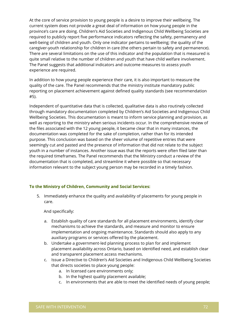At the core of service provision to young people is a desire to improve their wellbeing. The current system does not provide a great deal of information on how young people in the province's care are doing. Children's Aid Societies and Indigenous Child Wellbeing Societies are required to publicly report five performance indicators reflecting the safety, permanency and well-being of children and youth. Only one indicator pertains to wellbeing; the quality of the caregiver-youth relationship for children in care (the others pertain to safety and permanence). There are several limitations on the use of this indicator and the population that is measured is quite small relative to the number of children and youth that have child welfare involvement. The Panel suggests that additional indicators and outcome measures to assess youth experience are required.

In addition to how young people experience their care, it is also important to measure the quality of the care. The Panel recommends that the ministry institute mandatory public reporting on placement achievement against defined quality standards (see recommendation #5).

Independent of quantitative data that is collected, qualitative data is also routinely collected through mandatory documentation completed by Children's Aid Societies and Indigenous Child Wellbeing Societies. This documentation is meant to inform service planning and provision, as well as reporting to the ministry when serious incidents occur. In the comprehensive review of the files associated with the 12 young people, it became clear that in many instances, the documentation was completed for the sake of completion, rather than for its intended purpose. This conclusion was based on the sheer volume of repetitive entries that were seemingly cut and pasted and the presence of information that did not relate to the subject youth in a number of instances. Another issue was that the reports were often filed later than the required timeframes. The Panel recommends that the Ministry conduct a review of the documentation that is completed, and streamline it where possible so that necessary information relevant to the subject young person may be recorded in a timely fashion.

## **To the Ministry of Children, Community and Social Services:**

5. Immediately enhance the quality and availability of placements for young people in care.

And specifically:

- a. Establish quality of care standards for all placement environments, identify clear mechanisms to achieve the standards, and measure and monitor to ensure implementation and ongoing maintenance. Standards should also apply to any auxiliary programs or services offered by the placement.
- b. Undertake a government-led planning process to plan for and implement placement availability across Ontario, based on identified need, and establish clear and transparent placement access mechanisms.
- c. Issue a Directive to Children's Aid Societies and Indigenous Child Wellbeing Societies that directs societies to place young people:
	- a. In licensed care environments only;
	- b. In the highest quality placement available;
	- c. In environments that are able to meet the identified needs of young people;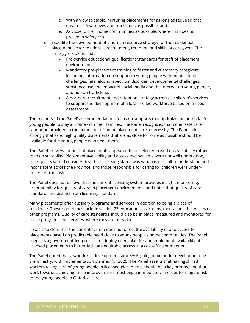- d. With a view to stable, nurturing placements for as long as required that ensure as few moves and transitions as possible; and
- e. As close to their home communities as possible, where this does not present a safety risk.
- d. Expedite the development of a human resource strategy for the residential placement sector to address recruitment, retention and skills of caregivers. The strategy should include:
	- Pre-service educational qualifications/standards for staff of placement environments
	- Mandatory pre-placement training to foster and customary caregivers including, information on support to young people with mental health challenges, fetal alcohol spectrum disorder, developmental challenges, substance use, the impact of social media and the internet on young people, and human trafficking.
	- A northern recruitment and retention strategy across all children's services to support the development of a local, skilled workforce based on a needs assessment.

The majority of the Panel's recommendations focus on supports that optimize the potential for young people to stay at home with their families. The Panel recognizes that when safe care cannot be provided in the home, out-of-home placements are a necessity. The Panel felt strongly that safe, high quality placements that are as close to home as possible should be available for the young people who need them.

The Panel's review found that placements appeared to be selected based on availability rather than on suitability. Placement availability and access mechanisms were not well understood, their quality varied considerably, their licensing status was variable, difficult to understand and inconsistent across the Province, and those responsible for caring for children were underskilled for the task.

The Panel does not believe that the current licensing system provides insight, monitoring, accountability for quality of care in placement environments, and notes that quality of care standards are distinct from licensing standards.

Many placements offer auxiliary programs and services in addition to being a place of residence. These sometimes include section 23 education classrooms, mental health services or other programs. Quality of care standards should also be in place, measured and monitored for these programs and services, where they are provided.

It was also clear that the current system does not direct the availability of and access to placements based on predictable need close to young people's home communities. The Panel suggests a government-led process to identify need, plan for and implement availability of licensed placements to better facilitate equitable access in a cost-efficient manner.

The Panel noted that a workforce development strategy is going to be under development by the ministry, with implementation planned for 2025. The Panel asserts that having skilled workers taking care of young people in licensed placements should be a key priority, and that work towards achieving these improvements must begin immediately in order to mitigate risk to the young people in Ontario's care.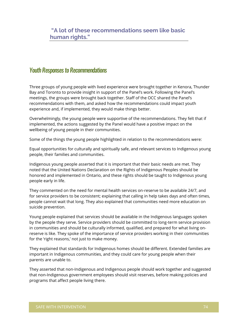# Youth Responses to Recommendations

Three groups of young people with lived experience were brought together in Kenora, Thunder Bay and Toronto to provide insight in support of the Panel's work. Following the Panel's meetings, the groups were brought back together. Staff of the OCC shared the Panel's recommendations with them, and asked how the recommendations could impact youth experience and, if implemented, they would make things better.

Overwhelmingly, the young people were supportive of the recommendations. They felt that if implemented, the actions suggested by the Panel would have a positive impact on the wellbeing of young people in their communities.

Some of the things the young people highlighted in relation to the recommendations were:

Equal opportunities for culturally and spiritually safe, and relevant services to Indigenous young people, their families and communities.

Indigenous young people asserted that it is important that their basic needs are met. They noted that the United Nations Declaration on the Rights of Indigenous Peoples should be honored and implemented in Ontario, and these rights should be taught to Indigenous young people early in life.

They commented on the need for mental health services on-reserve to be available 24/7, and for service providers to be consistent; explaining that calling in help takes days and often times, people cannot wait that long. They also explained that communities need more education on suicide prevention.

Young people explained that services should be available in the Indigenous languages spoken by the people they serve. Service providers should be committed to long-term service provision in communities and should be culturally informed, qualified, and prepared for what living onreserve is like. They spoke of the importance of service providers working in their communities for the 'right reasons,' not just to make money.

They explained that standards for Indigenous homes should be different. Extended families are important in Indigenous communities, and they could care for young people when their parents are unable to.

They asserted that non-Indigenous and Indigenous people should work together and suggested that non-Indigenous government employees should visit reserves, before making policies and programs that affect people living there.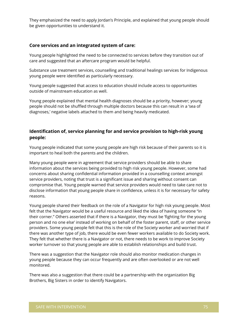They emphasized the need to apply Jordan's Principle, and explained that young people should be given opportunities to understand it.

## **Core services and an integrated system of care:**

Young people highlighted the need to be connected to services before they transition out of care and suggested that an aftercare program would be helpful.

Substance use treatment services, counselling and traditional healings services for Indigenous young people were identified as particularly necessary.

Young people suggested that access to education should include access to opportunities outside of mainstream education as well.

Young people explained that mental health diagnoses should be a priority, however; young people should not be shuffled through multiple doctors because this can result in a 'sea of diagnoses,' negative labels attached to them and being heavily medicated.

# **Identification of, service planning for and service provision to high-risk young people:**

Young people indicated that some young people are high risk because of their parents so it is important to heal both the parents and the children.

Many young people were in agreement that service providers should be able to share information about the services being provided to high risk young people. However, some had concerns about sharing confidential information provided in a counselling context amongst service providers, noting that trust is a significant issue and sharing without consent can compromise that. Young people warned that service providers would need to take care not to disclose information that young people share in confidence, unless it is for necessary for safety reasons.

Young people shared their feedback on the role of a Navigator for high risk young people. Most felt that the Navigator would be a useful resource and liked the idea of having someone "in their corner." Others asserted that if there is a Navigator, they must be 'fighting for the young person and no one else' instead of working on behalf of the foster parent, staff, or other service providers. Some young people felt that this is the role of the Society worker and worried that if there was another type of job, there would be even fewer workers available to do Society work. They felt that whether there is a Navigator or not, there needs to be work to improve Society worker turnover so that young people are able to establish relationships and build trust.

There was a suggestion that the Navigator role should also monitor medication changes in young people because they can occur frequently and are often overlooked or are not well monitored.

There was also a suggestion that there could be a partnership with the organization Big Brothers, Big Sisters in order to identify Navigators.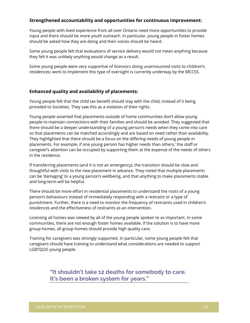## **Strengthened accountability and opportunities for continuous improvement:**

Young people with lived experience from all over Ontario need more opportunities to provide input and there should be more youth outreach. In particular, young people in foster homes should be asked how they are doing and their voices should be heard.

Some young people felt that evaluations of service delivery would not mean anything because they felt it was unlikely anything would change as a result.

Some young people were very supportive of licensors doing unannounced visits to children's residences; work to implement this type of oversight is currently underway by the MCCSS.

## **Enhanced quality and availability of placements:**

Young people felt that the child tax benefit should stay with the child, instead of it being provided to Societies. They saw this as a violation of their rights.

Young people asserted that placements outside of home communities don't allow young people to maintain connections with their families and should be avoided. They suggested that there should be a deeper understanding of a young person's needs when they come into care so that placements can be matched accordingly and are based on need rather than availability. They highlighted that there should be a focus on the differing needs of young people in placements. For example, if one young person has higher needs than others,' the staff or caregiver's attention can be occupied by supporting them at the expense of the needs of others in the residence.

If transferring placements (and it is not an emergency), the transition should be slow and thoughtful with visits to the new placement in advance. They noted that multiple placements can be 'damaging' to a young person's wellbeing, and that anything to make placements stable and long-term will be helpful.

There should be more effort in residential placements to understand the roots of a young person's behaviours instead of immediately responding with a restraint or a type of punishment. Further, there is a need to monitor the frequency of restraints used in children's residences and the effectiveness of restraints as an intervention.

Licensing all homes was viewed by all of the young people spoken to as important. In some communities, there are not enough foster homes available. If the solution is to have more group homes, all group homes should provide high quality care.

Training for caregivers was strongly supported. In particular, some young people felt that caregivers should have training to understand what considerations are needed to support LGBTQI2S young people.

> **"It shouldn't take 12 deaths for somebody to care. It's been a broken system for years."**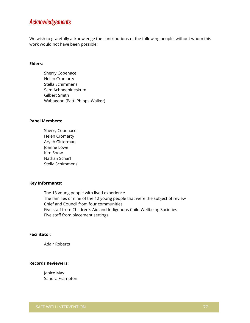# Acknowledgements

We wish to gratefully acknowledge the contributions of the following people, without whom this work would not have been possible:

### **Elders:**

Sherry Copenace Helen Cromarty Stella Schimmens Sam Achneepineskum Gilbert Smith Wabagoon (Patti Phipps-Walker)

## **Panel Members:**

Sherry Copenace Helen Cromarty Aryeh Gitterman Joanne Lowe Kim Snow Nathan Scharf Stella Schimmens

#### **Key Informants:**

The 13 young people with lived experience The families of nine of the 12 young people that were the subject of review Chief and Council from four communities Five staff from Children's Aid and Indigenous Child Wellbeing Societies Five staff from placement settings

## **Facilitator:**

Adair Roberts

## **Records Reviewers:**

Janice May Sandra Frampton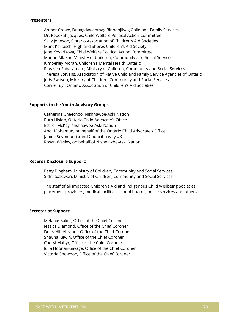#### **Presenters:**

Amber Crowe, Dnaagdawenmag Binnoojiiyag Child and Family Services Dr. Rebekah Jacques, Child Welfare Political Action Committee Sally Johnson, Ontario Association of Children's Aid Societies Mark Kartusch, Highland Shores Children's Aid Society Jane Kovarikova, Child Welfare Political Action Committee Marian Mlakar, Ministry of Children, Community and Social Services Kimberley Moran, Children's Mental Health Ontario Ragaven Sabaratnam, Ministry of Children, Community and Social Services Theresa Stevens, Association of Native Child and Family Service Agencies of Ontario Judy Switson, Ministry of Children, Community and Social Services Corrie Tuyl, Ontario Association of Children's Aid Societies

#### **Supports to the Youth Advisory Groups:**

Catherine Cheechoo, Nishnawbe-Aski Nation Ruth Hislop, Ontario Child Advocate's Office Esther McKay, Nishnawbe-Aski Nation Abdi Mohamud, on behalf of the Ontario Child Advocate's Office Janine Seymour, Grand Council Treaty #3 Rosan Wesley, on behalf of Nishnawbe-Aski Nation

#### **Records Disclosure Support:**

Patty Bingham, Ministry of Children, Community and Social Services Sidra Sabzwari, Ministry of Children, Community and Social Services

The staff of all impacted Children's Aid and Indigenous Child Wellbeing Societies, placement providers, medical facilities, school boards, police services and others

#### **Secretariat Support:**

Melanie Baker, Office of the Chief Coroner Jessica Diamond, Office of the Chief Coroner Doris Hildebrandt, Office of the Chief Coroner Shauna Kewin, Office of the Chief Coroner Cheryl Mahyr, Office of the Chief Coroner Julia Noonan-Savage, Office of the Chief Coroner Victoria Snowdon, Office of the Chief Coroner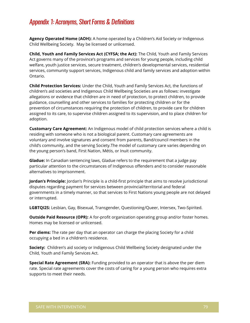# Appendix 1: Acronyms, Short Forms & Definitions

**Agency Operated Home (AOH):** A home operated by a Children's Aid Society or Indigenous Child Wellbeing Society. May be licensed or unlicensed.

**Child, Youth and Family Services Act (CYFSA; the Act):** The Child, Youth and Family Services Act governs many of the province's programs and services for young people, including child welfare, youth justice services, secure treatment, children's developmental services, residential services, community support services, Indigenous child and family services and adoption within Ontario.

**Child Protection Services:** Under the Child, Youth and Family Services Act, the functions of children's aid societies and Indigenous Child Wellbeing Societies are as follows: investigate allegations or evidence that children are in need of protection, to protect children, to provide guidance, counselling and other services to families for protecting children or for the prevention of circumstances requiring the protection of children, to provide care for children assigned to its care, to supervise children assigned to its supervision, and to place children for adoption.

**Customary Care Agreement:** An Indigenous model of child protection services where a child is residing with someone who is not a biological parent. Customary care agreements are voluntary and involve signatures and consent from parents, Band/council members in the child's community, and the serving Society.The model of customary care varies depending on the young person's band, First Nation, Métis, or Inuit community.

**Gladue:** In Canadian sentencing laws, Gladue refers to the requirement that a judge pay particular attention to the circumstances of Indigenous offenders and to consider reasonable alternatives to imprisonment.

**Jordan's Principle:** Jordan's Principle is a child-first principle that aims to resolve jurisdictional disputes regarding payment for services between provincial/territorial and federal governments in a timely manner, so that services to First Nations young people are not delayed or interrupted.

**LGBTQI2S:** Lesbian, Gay, Bisexual, Transgender, Questioning/Queer, Intersex, Two-Spirited.

**Outside Paid Resource (OPR):** A for-profit organization operating group and/or foster homes. Homes may be licensed or unlicensed.

**Per diems:** The rate per day that an operator can charge the placing Society for a child occupying a bed in a children's residence.

**Society:** Children's aid society or Indigenous Child Wellbeing Society designated under the Child, Youth and Family Services Act.

**Special Rate Agreement (SRA):** Funding provided to an operator that is above the per diem rate. Special rate agreements cover the costs of caring for a young person who requires extra supports to meet their needs.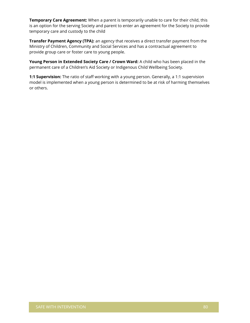**Temporary Care Agreement:** When a parent is temporarily unable to care for their child, this is an option for the serving Society and parent to enter an agreement for the Society to provide temporary care and custody to the child

**Transfer Payment Agency (TPA):** an agency that receives a direct transfer payment from the Ministry of Children, Community and Social Services and has a contractual agreement to provide group care or foster care to young people.

Young Person in Extended Society Care / Crown Ward: A child who has been placed in the permanent care of a Children's Aid Society or Indigenous Child Wellbeing Society.

**1:1 Supervision:** The ratio of staff working with a young person. Generally, a 1:1 supervision model is implemented when a young person is determined to be at risk of harming themselves or others.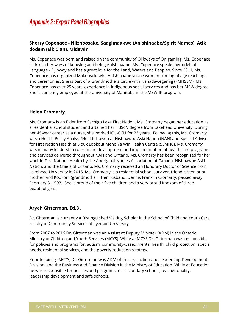# Appendix 2: Expert Panel Biographies

# **Sherry Copenace - Niizhoosake, Saagimaakwe (Anishinaabe/Spirit Names), Atik dodem (Elk Clan), Midewin**

Ms. Copenace was born and raised on the community of Ojibways of Onigaming. Ms. Copenace is firm in her ways of knowing and being Anishinaabe. Ms. Copenace speaks her original Language - Ojibway and has a great love for the Land, Waters and Peoples. Since 2011, Ms. Copenace has organized Makoosekawin- Anishinaabe young women coming of age teachings and ceremonies. She is part of a Grandmothers Circle with Nanadawegamig (FMHSSM). Ms. Copenace has over 25 years' experience in Indigenous social services and has her MSW degree. She is currently employed at the University of Manitoba in the MSW-IK program.

## **Helen Cromarty**

Ms. Cromarty is an Elder from Sachigo Lake First Nation. Ms. Cromarty began her education as a residential school student and attained her HBScN degree from Lakehead University. During her 45-year career as a nurse, she worked ICU-CCU for 23 years. Following this, Ms. Cromarty was a Health Policy Analyst/Health Liaison at Nishnawbe Aski Nation (NAN) and Special Advisor for First Nation Health at Sioux Lookout Meno Ya Win Health Centre (SLMHC). Ms. Cromarty was in many leadership roles in the development and implementation of health care programs and services delivered throughout NAN and Ontario. Ms. Cromarty has been recognized for her work in First Nations Health by the Aboriginal Nurses Association of Canada, Nishnawbe Aski Nation, and the Chiefs of Ontario. Ms. Cromarty received an Honorary Doctor of Science from Lakehead University in 2016. Ms. Cromarty is a residential school survivor, friend, sister, aunt, mother, and Kookom (grandmother). Her husband, Dennis Franklin Cromarty, passed away February 3, 1993. She is proud of their five children and a very proud Kookom of three beautiful girls.

## **Aryeh Gitterman, Ed.D.**

Dr. Gitterman is currently a Distinguished Visiting Scholar in the School of Child and Youth Care, Faculty of Community Services at Ryerson University.

From 2007 to 2016 Dr. Gitterman was an Assistant Deputy Minister (ADM) in the Ontario Ministry of Children and Youth Services (MCYS). While at MCYS Dr. Gitterman was responsible for policies and programs for: autism, community-based mental health, child protection, special needs, residential services, and the poverty reduction strategy.

Prior to joining MCYS, Dr. Gitterman was ADM of the Instruction and Leadership Development Division, and the Business and Finance Division in the Ministry of Education. While at Education he was responsible for policies and programs for: secondary schools, teacher quality, leadership development and safe schools.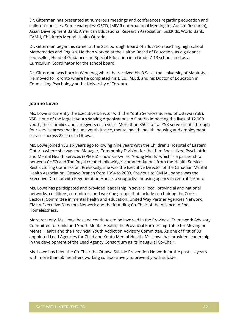Dr. Gitterman has presented at numerous meetings and conferences regarding education and children's policies. Some examples: OECD, IMFAR (International Meeting for Autism Research), Asian Development Bank, American Educational Research Association, SickKids, World Bank, CAMH, Children's Mental Health Ontario.

Dr. Gitterman began his career at the Scarborough Board of Education teaching high school Mathematics and English. He then worked at the Halton Board of Education, as a guidance counsellor, Head of Guidance and Special Education in a Grade 7-13 school, and as a Curriculum Coordinator for the school board.

Dr. Gitterman was born in Winnipeg where he received his B.Sc. at the University of Manitoba. He moved to Toronto where he completed his B.Ed., M.Ed. and his Doctor of Education in Counselling Psychology at the University of Toronto.

## **Joanne Lowe**

Ms. Lowe is currently the Executive Director with the Youth Services Bureau of Ottawa (YSB). YSB is one of the largest youth serving organizations in Ontario impacting the lives of 12,000 youth, their families and caregivers each year. More than 350 staff at YSB serve clients through four service areas that include youth justice, mental health, health, housing and employment services across 22 sites in Ottawa.

Ms. Lowe joined YSB six years ago following nine years with the Children's Hospital of Eastern Ontario where she was the Manager, Community Division for the then Specialized Psychiatric and Mental Health Services (SPMHS) – now known as "Young Minds" which is a partnership between CHEO and The Royal created following recommendations from the Health Services Restructuring Commission. Previously, she was the Executive Director of the Canadian Mental Health Association, Ottawa Branch from 1994 to 2003. Previous to CMHA, Joanne was the Executive Director with Regeneration House, a supportive housing agency in central Toronto.

Ms. Lowe has participated and provided leadership in several local, provincial and national networks, coalitions, committees and working groups that include co-chairing the Cross-Sectoral Committee in mental health and education, United Way Partner Agencies Network, CMHA Executive Directors Network and the founding Co-Chair of the Alliance to End Homelessness.

More recently, Ms. Lowe has and continues to be involved in the Provincial Framework Advisory Committee for Child and Youth Mental Health; the Provincial Partnership Table for Moving on Mental Health and the Provincial Youth Addiction Advisory Committee. As one of first of 33 appointed Lead Agencies for Child and Youth Mental Health, Ms. Lowe has provided leadership in the development of the Lead Agency Consortium as its inaugural Co-Chair.

Ms. Lowe has been the Co-Chair the Ottawa Suicide Prevention Network for the past six years with more than 50 members working collaboratively to prevent youth suicide.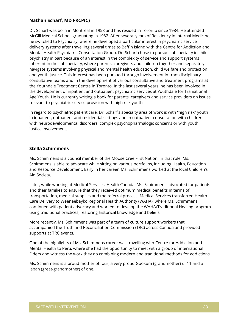# **Nathan Scharf, MD FRCP(C)**

Dr. Scharf was born in Montreal in 1958 and has resided in Toronto since 1984. He attended McGill Medical School, graduating in 1982. After several years of Residency in Internal Medicine, he switched to Psychiatry, where he developed a particular interest in psychiatric service delivery systems after travelling several times to Baffin Island with the Centre for Addiction and Mental Health Psychiatric Consultation Group. Dr. Scharf chose to pursue subspecialty in child psychiatry in part because of an interest in the complexity of service and support systems inherent in the subspecialty, where parents, caregivers and children together and separately navigate systems involving physical and mental health education, child welfare and protection and youth justice. This interest has been pursued through involvement in transdisciplinary consultative teams and in the development of various consultative and treatment programs at the Youthdale Treatment Centre in Toronto. In the last several years, he has been involved in the development of inpatient and outpatient psychiatric services at Youthdale for Transitional Age Youth. He is currently writing a book for parents, caregivers and service providers on issues relevant to psychiatric service provision with high risk youth.

In regard to psychiatric patient care, Dr. Scharf's specialty area of work is with "high risk" youth in inpatient, outpatient and residential settings and in outpatient consultation with children with neurodevelopmental disorders, complex psychopharmalogic concerns or with youth justice involvement.

## **Stella Schimmens**

Ms. Schimmens is a council member of the Moose Cree First Nation. In that role, Ms. Schimmens is able to advocate while sitting on various portfolios, including Health, Education and Resource Development. Early in her career, Ms. Schimmens worked at the local Children's Aid Society.

Later, while working at Medical Services, Health Canada, Ms. Schimmens advocated for patients and their families to ensure that they received optimum medical benefits in terms of transportation, medical supplies and the referral process. Medical Services transferred Health Care Delivery to Weeneebayko Regional Health Authority (WAHA), where Ms. Schimmens continued with patient advocacy and worked to develop the WAHA/Traditional Healing program using traditional practices, restoring historical knowledge and beliefs.

More recently, Ms. Schimmens was part of a team of culture support workers that accompanied the Truth and Reconciliation Commission (TRC) across Canada and provided supports at TRC events.

One of the highlights of Ms. Schimmens career was travelling with Centre for Addiction and Mental Health to Peru, where she had the opportunity to meet with a group of international Elders and witness the work they do combining modern and traditional methods for addictions.

Ms. Schimmens is a proud mother of four, a very proud Gookum (grandmother) of 11 and a Jaban (great-grandmother) of one.